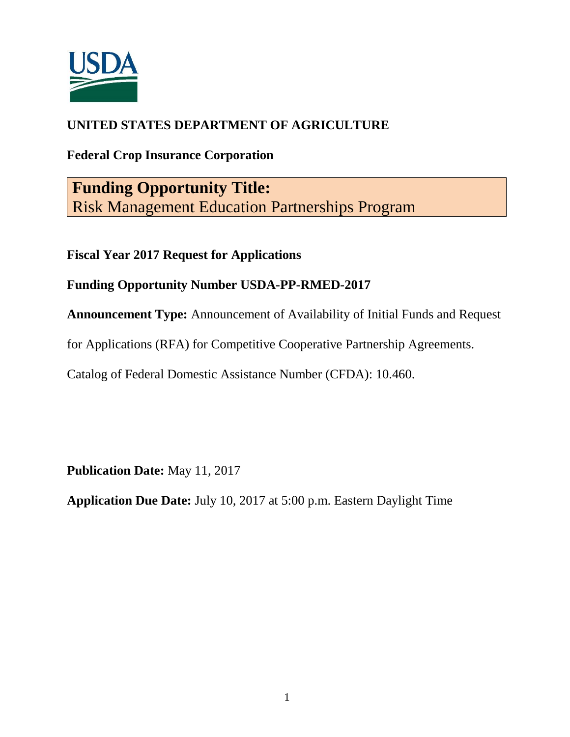

## **UNITED STATES DEPARTMENT OF AGRICULTURE**

# **Federal Crop Insurance Corporation**

**Funding Opportunity Title:** Risk Management Education Partnerships Program

**Fiscal Year 2017 Request for Applications**

## **Funding Opportunity Number USDA-PP-RMED-2017**

**Announcement Type:** Announcement of Availability of Initial Funds and Request

for Applications (RFA) for Competitive Cooperative Partnership Agreements.

Catalog of Federal Domestic Assistance Number (CFDA): 10.460.

**Publication Date:** May 11, 2017

**Application Due Date:** July 10, 2017 at 5:00 p.m. Eastern Daylight Time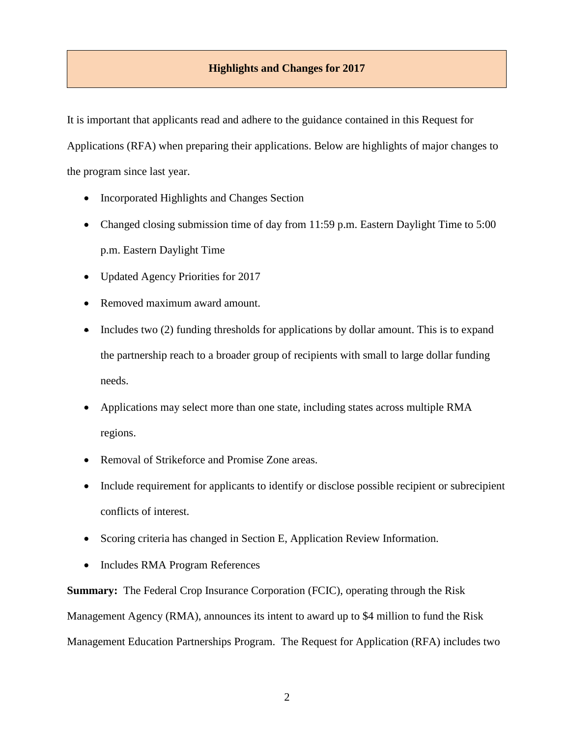## **Highlights and Changes for 2017**

It is important that applicants read and adhere to the guidance contained in this Request for Applications (RFA) when preparing their applications. Below are highlights of major changes to the program since last year.

- Incorporated Highlights and Changes Section
- Changed closing submission time of day from 11:59 p.m. Eastern Daylight Time to 5:00 p.m. Eastern Daylight Time
- Updated Agency Priorities for 2017
- Removed maximum award amount.
- $\bullet$  Includes two (2) funding thresholds for applications by dollar amount. This is to expand the partnership reach to a broader group of recipients with small to large dollar funding needs.
- Applications may select more than one state, including states across multiple RMA regions.
- Removal of Strikeforce and Promise Zone areas.
- Include requirement for applicants to identify or disclose possible recipient or subrecipient conflicts of interest.
- Scoring criteria has changed in Section E, Application Review Information.
- Includes RMA Program References

**Summary:** The Federal Crop Insurance Corporation (FCIC), operating through the Risk Management Agency (RMA), announces its intent to award up to \$4 million to fund the Risk Management Education Partnerships Program. The Request for Application (RFA) includes two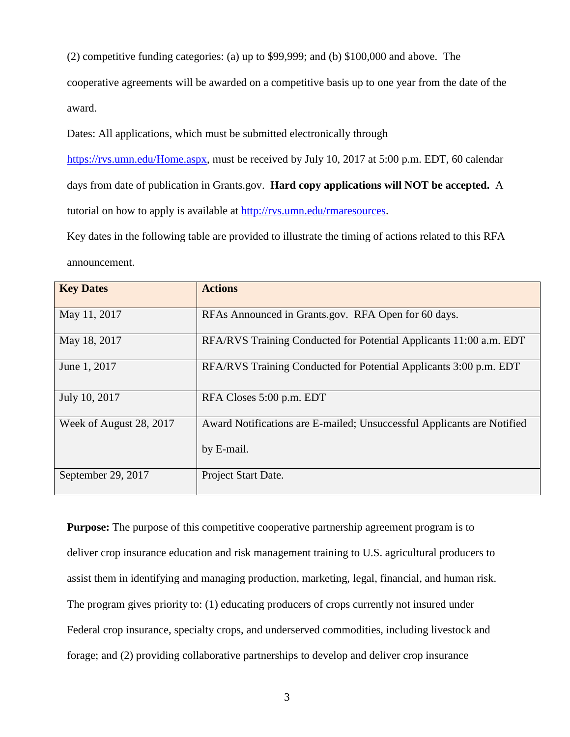(2) competitive funding categories: (a) up to \$99,999; and (b) \$100,000 and above. The

cooperative agreements will be awarded on a competitive basis up to one year from the date of the award.

Dates: All applications, which must be submitted electronically through

[https://rvs.umn.edu/Home.aspx,](https://rvs.umn.edu/Home.aspx) must be received by July 10, 2017 at 5:00 p.m. EDT, 60 calendar days from date of publication in Grants.gov.**Hard copy applications will NOT be accepted.** A tutorial on how to apply is available at [http://rvs.umn.edu/rmaresources.](http://rvs.umn.edu/rmaresources)

Key dates in the following table are provided to illustrate the timing of actions related to this RFA announcement.

| <b>Key Dates</b>        | <b>Actions</b>                                                         |
|-------------------------|------------------------------------------------------------------------|
| May 11, 2017            | RFAs Announced in Grants.gov. RFA Open for 60 days.                    |
| May 18, 2017            | RFA/RVS Training Conducted for Potential Applicants 11:00 a.m. EDT     |
| June 1, 2017            | RFA/RVS Training Conducted for Potential Applicants 3:00 p.m. EDT      |
| July 10, 2017           | RFA Closes 5:00 p.m. EDT                                               |
| Week of August 28, 2017 | Award Notifications are E-mailed; Unsuccessful Applicants are Notified |
|                         | by E-mail.                                                             |
| September 29, 2017      | Project Start Date.                                                    |

**Purpose:** The purpose of this competitive cooperative partnership agreement program is to deliver crop insurance education and risk management training to U.S. agricultural producers to assist them in identifying and managing production, marketing, legal, financial, and human risk. The program gives priority to: (1) educating producers of crops currently not insured under Federal crop insurance, specialty crops, and underserved commodities, including livestock and forage; and (2) providing collaborative partnerships to develop and deliver crop insurance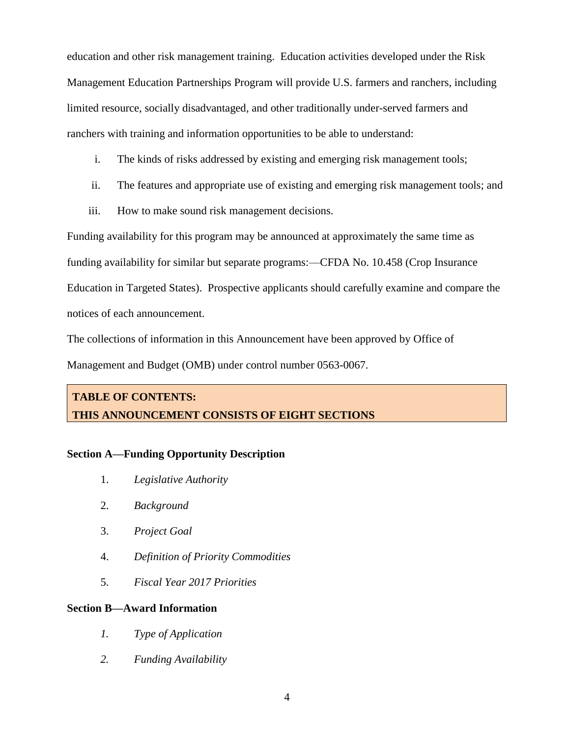education and other risk management training. Education activities developed under the Risk Management Education Partnerships Program will provide U.S. farmers and ranchers, including limited resource, socially disadvantaged, and other traditionally under-served farmers and ranchers with training and information opportunities to be able to understand:

- i. The kinds of risks addressed by existing and emerging risk management tools;
- ii. The features and appropriate use of existing and emerging risk management tools; and
- iii. How to make sound risk management decisions.

Funding availability for this program may be announced at approximately the same time as funding availability for similar but separate programs:—CFDA No. 10.458 (Crop Insurance Education in Targeted States). Prospective applicants should carefully examine and compare the notices of each announcement.

The collections of information in this Announcement have been approved by Office of

Management and Budget (OMB) under control number 0563-0067.

# **TABLE OF CONTENTS: THIS ANNOUNCEMENT CONSISTS OF EIGHT SECTIONS**

## **Section A—Funding Opportunity Description**

- 1. *Legislative Authority*
- 2. *Background*
- 3. *Project Goal*
- 4. *Definition of Priority Commodities*
- 5. *Fiscal Year 2017 Priorities*

## **Section B—Award Information**

- *1. Type of Application*
- *2. Funding Availability*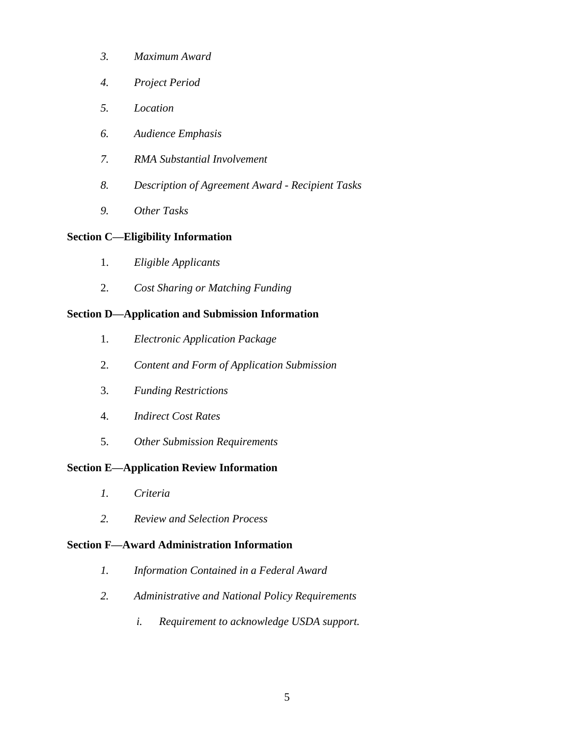- *3. Maximum Award*
- *4. Project Period*
- *5. Location*
- *6. Audience Emphasis*
- *7. RMA Substantial Involvement*
- *8. Description of Agreement Award - Recipient Tasks*
- *9. Other Tasks*

## **Section C—Eligibility Information**

- 1. *Eligible Applicants*
- 2. *Cost Sharing or Matching Funding*

## **Section D—Application and Submission Information**

- 1. *Electronic Application Package*
- 2. *Content and Form of Application Submission*
- 3. *Funding Restrictions*
- 4. *Indirect Cost Rates*
- 5. *Other Submission Requirements*

## **Section E—Application Review Information**

- *1. Criteria*
- *2. Review and Selection Process*

## **Section F—Award Administration Information**

- *1. Information Contained in a Federal Award*
- *2. Administrative and National Policy Requirements*
	- *i. Requirement to acknowledge USDA support.*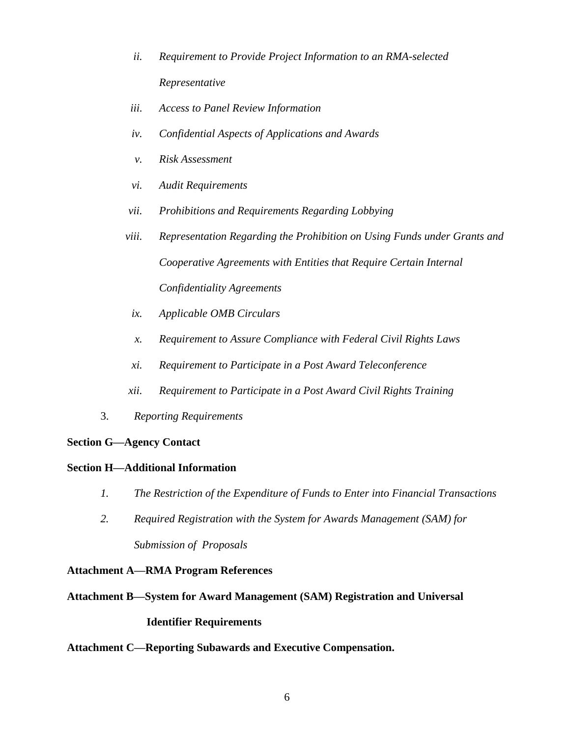- *ii. Requirement to Provide Project Information to an RMA-selected Representative*
- *iii. Access to Panel Review Information*
- *iv. Confidential Aspects of Applications and Awards*
- *v. Risk Assessment*
- *vi. Audit Requirements*
- *vii. Prohibitions and Requirements Regarding Lobbying*
- *viii. Representation Regarding the Prohibition on Using Funds under Grants and Cooperative Agreements with Entities that Require Certain Internal Confidentiality Agreements*
	- *ix. Applicable OMB Circulars*
	- *x. Requirement to Assure Compliance with Federal Civil Rights Laws*
- *xi. Requirement to Participate in a Post Award Teleconference*
- *xii. Requirement to Participate in a Post Award Civil Rights Training*
- 3. *Reporting Requirements*

## **Section G—Agency Contact**

## **Section H—Additional Information**

- *1. The Restriction of the Expenditure of Funds to Enter into Financial Transactions*
- *2. Required Registration with the System for Awards Management (SAM) for Submission of Proposals*

## **Attachment A—RMA Program References**

## **Attachment B—System for Award Management (SAM) Registration and Universal**

## **Identifier Requirements**

## **Attachment C—Reporting Subawards and Executive Compensation.**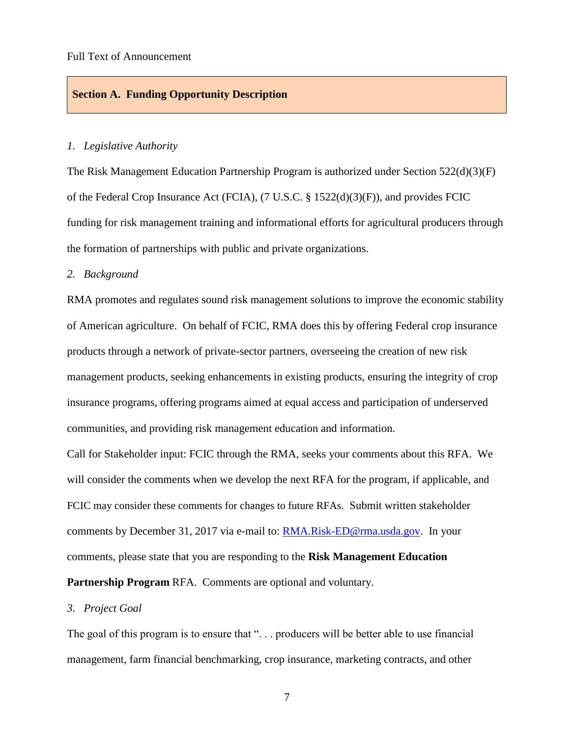#### **Section A. Funding Opportunity Description**

#### *1. Legislative Authority*

The Risk Management Education Partnership Program is authorized under Section 522(d)(3)(F) of the Federal Crop Insurance Act (FCIA), (7 U.S.C. § 1522(d)(3)(F)), and provides FCIC funding for risk management training and informational efforts for agricultural producers through the formation of partnerships with public and private organizations.

#### *2. Background*

RMA promotes and regulates sound risk management solutions to improve the economic stability of American agriculture. On behalf of FCIC, RMA does this by offering Federal crop insurance products through a network of private-sector partners, overseeing the creation of new risk management products, seeking enhancements in existing products, ensuring the integrity of crop insurance programs, offering programs aimed at equal access and participation of underserved communities, and providing risk management education and information.

Call for Stakeholder input: FCIC through the RMA, seeks your comments about this RFA. We will consider the comments when we develop the next RFA for the program, if applicable, and FCIC may consider these comments for changes to future RFAs. Submit written stakeholder comments by December 31, 2017 via e-mail to: [RMA.Risk-ED@rma.usda.gov.](mailto:RMA.Risk-ED@rma.usda.gov) In your comments, please state that you are responding to the **Risk Management Education Partnership Program** RFA. Comments are optional and voluntary.

#### *3. Project Goal*

The goal of this program is to ensure that "... producers will be better able to use financial management, farm financial benchmarking, crop insurance, marketing contracts, and other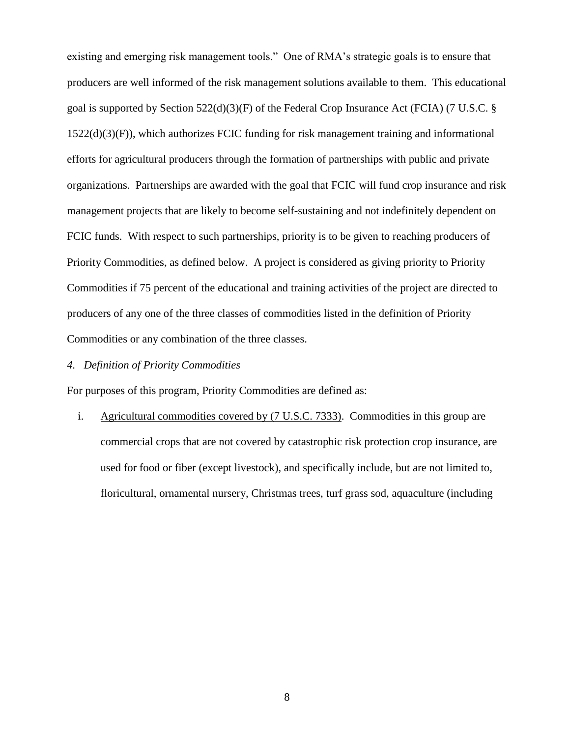existing and emerging risk management tools." One of RMA's strategic goals is to ensure that producers are well informed of the risk management solutions available to them. This educational goal is supported by Section 522(d)(3)(F) of the Federal Crop Insurance Act (FCIA) (7 U.S.C. § 1522(d)(3)(F)), which authorizes FCIC funding for risk management training and informational efforts for agricultural producers through the formation of partnerships with public and private organizations. Partnerships are awarded with the goal that FCIC will fund crop insurance and risk management projects that are likely to become self-sustaining and not indefinitely dependent on FCIC funds. With respect to such partnerships, priority is to be given to reaching producers of Priority Commodities, as defined below. A project is considered as giving priority to Priority Commodities if 75 percent of the educational and training activities of the project are directed to producers of any one of the three classes of commodities listed in the definition of Priority Commodities or any combination of the three classes.

## *4. Definition of Priority Commodities*

For purposes of this program, Priority Commodities are defined as:

i. Agricultural commodities covered by (7 U.S.C. 7333). Commodities in this group are commercial crops that are not covered by catastrophic risk protection crop insurance, are used for food or fiber (except livestock), and specifically include, but are not limited to, floricultural, ornamental nursery, Christmas trees, turf grass sod, aquaculture (including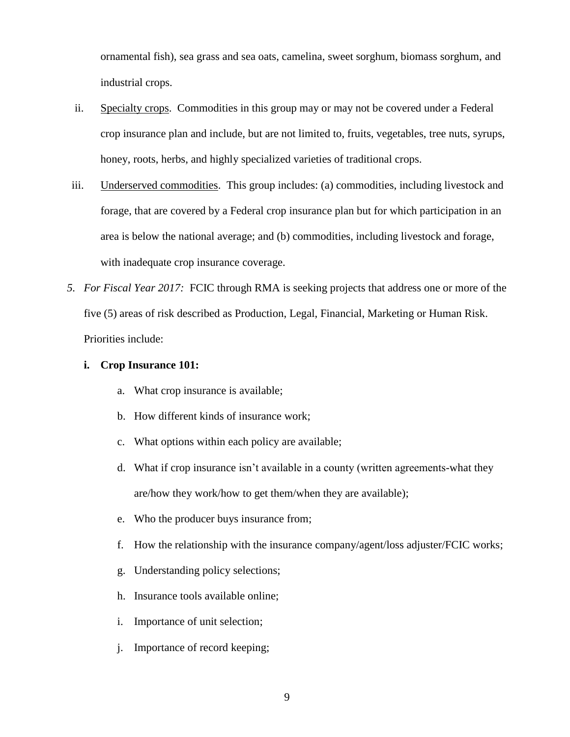ornamental fish), sea grass and sea oats, camelina, sweet sorghum, biomass sorghum, and industrial crops.

- ii. Specialty crops.Commodities in this group may or may not be covered under a Federal crop insurance plan and include, but are not limited to, fruits, vegetables, tree nuts, syrups, honey, roots, herbs, and highly specialized varieties of traditional crops.
- iii. Underserved commodities. This group includes: (a) commodities, including livestock and forage, that are covered by a Federal crop insurance plan but for which participation in an area is below the national average; and (b) commodities, including livestock and forage, with inadequate crop insurance coverage.
- *5. For Fiscal Year 2017:* FCIC through RMA is seeking projects that address one or more of the five (5) areas of risk described as Production, Legal, Financial, Marketing or Human Risk. Priorities include:
	- **i. Crop Insurance 101:** 
		- a. What crop insurance is available;
		- b. How different kinds of insurance work;
		- c. What options within each policy are available;
		- d. What if crop insurance isn't available in a county (written agreements-what they are/how they work/how to get them/when they are available);
		- e. Who the producer buys insurance from;
		- f. How the relationship with the insurance company/agent/loss adjuster/FCIC works;
		- g. Understanding policy selections;
		- h. Insurance tools available online;
		- i. Importance of unit selection;
		- j. Importance of record keeping;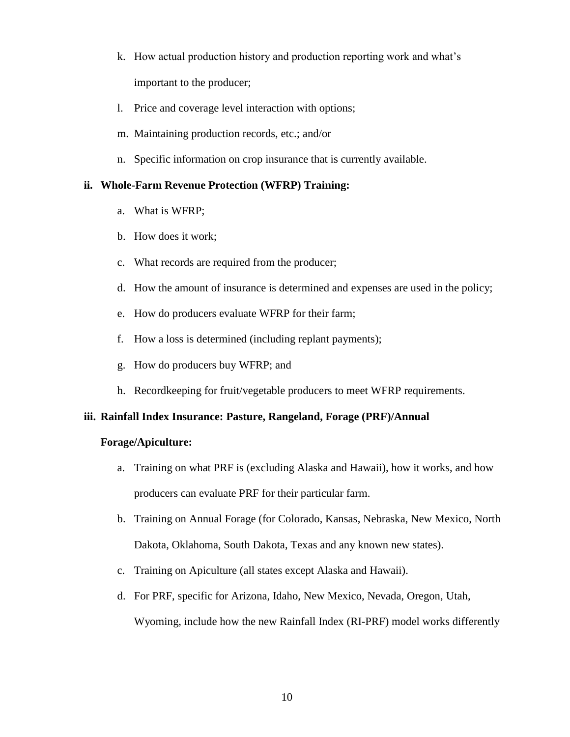- k. How actual production history and production reporting work and what's important to the producer;
- l. Price and coverage level interaction with options;
- m. Maintaining production records, etc.; and/or
- n. Specific information on crop insurance that is currently available.

## **ii. Whole-Farm Revenue Protection (WFRP) Training:**

- a. What is WFRP;
- b. How does it work;
- c. What records are required from the producer;
- d. How the amount of insurance is determined and expenses are used in the policy;
- e. How do producers evaluate WFRP for their farm;
- f. How a loss is determined (including replant payments);
- g. How do producers buy WFRP; and
- h. Recordkeeping for fruit/vegetable producers to meet WFRP requirements.

## **iii. Rainfall Index Insurance: Pasture, Rangeland, Forage (PRF)/Annual**

## **Forage/Apiculture:**

- a. Training on what PRF is (excluding Alaska and Hawaii), how it works, and how producers can evaluate PRF for their particular farm.
- b. Training on Annual Forage (for Colorado, Kansas, Nebraska, New Mexico, North Dakota, Oklahoma, South Dakota, Texas and any known new states).
- c. Training on Apiculture (all states except Alaska and Hawaii).
- d. For PRF, specific for Arizona, Idaho, New Mexico, Nevada, Oregon, Utah, Wyoming, include how the new Rainfall Index (RI-PRF) model works differently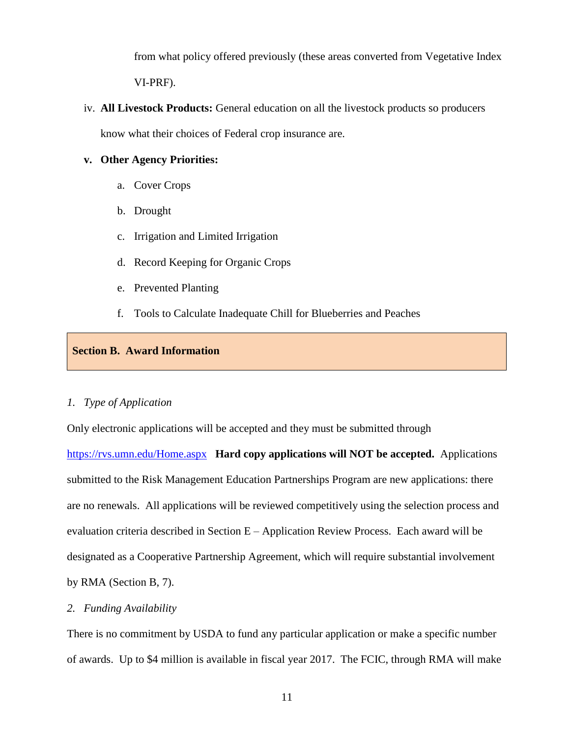from what policy offered previously (these areas converted from Vegetative Index VI-PRF).

iv. **All Livestock Products:** General education on all the livestock products so producers know what their choices of Federal crop insurance are.

## **v. Other Agency Priorities:**

- a. Cover Crops
- b. Drought
- c. Irrigation and Limited Irrigation
- d. Record Keeping for Organic Crops
- e. Prevented Planting
- f. Tools to Calculate Inadequate Chill for Blueberries and Peaches

### **Section B. Award Information**

#### *1. Type of Application*

Only electronic applications will be accepted and they must be submitted through

<https://rvs.umn.edu/Home.aspx> **Hard copy applications will NOT be accepted.** Applications submitted to the Risk Management Education Partnerships Program are new applications: there are no renewals. All applications will be reviewed competitively using the selection process and evaluation criteria described in Section E – Application Review Process. Each award will be designated as a Cooperative Partnership Agreement, which will require substantial involvement by RMA (Section B, 7).

#### *2. Funding Availability*

There is no commitment by USDA to fund any particular application or make a specific number of awards. Up to \$4 million is available in fiscal year 2017. The FCIC, through RMA will make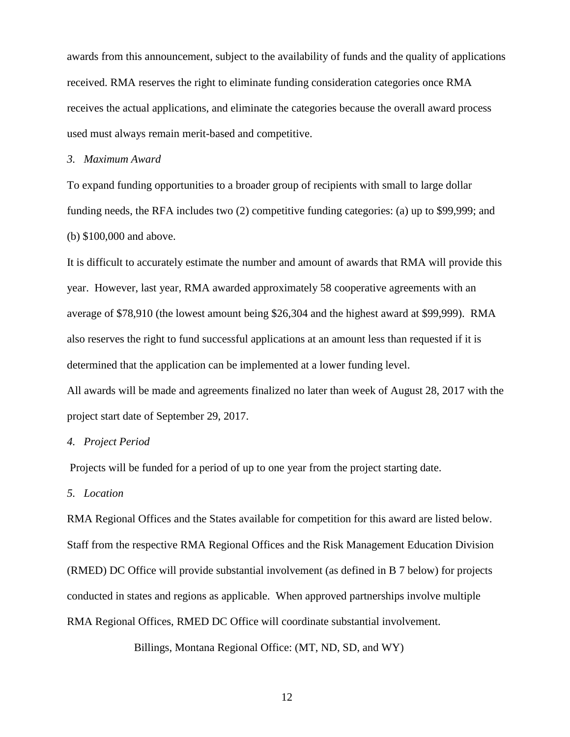awards from this announcement, subject to the availability of funds and the quality of applications received. RMA reserves the right to eliminate funding consideration categories once RMA receives the actual applications, and eliminate the categories because the overall award process used must always remain merit-based and competitive.

#### *3. Maximum Award*

To expand funding opportunities to a broader group of recipients with small to large dollar funding needs, the RFA includes two (2) competitive funding categories: (a) up to \$99,999; and (b) \$100,000 and above.

It is difficult to accurately estimate the number and amount of awards that RMA will provide this year. However, last year, RMA awarded approximately 58 cooperative agreements with an average of \$78,910 (the lowest amount being \$26,304 and the highest award at \$99,999). RMA also reserves the right to fund successful applications at an amount less than requested if it is determined that the application can be implemented at a lower funding level.

All awards will be made and agreements finalized no later than week of August 28, 2017 with the project start date of September 29, 2017.

#### *4. Project Period*

Projects will be funded for a period of up to one year from the project starting date.

## *5. Location*

RMA Regional Offices and the States available for competition for this award are listed below. Staff from the respective RMA Regional Offices and the Risk Management Education Division (RMED) DC Office will provide substantial involvement (as defined in B 7 below) for projects conducted in states and regions as applicable. When approved partnerships involve multiple RMA Regional Offices, RMED DC Office will coordinate substantial involvement.

Billings, Montana Regional Office: (MT, ND, SD, and WY)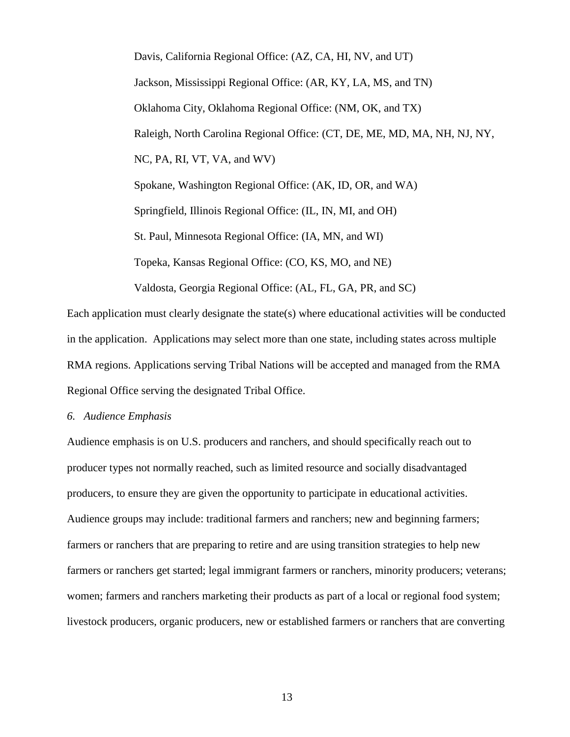Davis, California Regional Office: (AZ, CA, HI, NV, and UT) Jackson, Mississippi Regional Office: (AR, KY, LA, MS, and TN) Oklahoma City, Oklahoma Regional Office: (NM, OK, and TX) Raleigh, North Carolina Regional Office: (CT, DE, ME, MD, MA, NH, NJ, NY, NC, PA, RI, VT, VA, and WV) Spokane, Washington Regional Office: (AK, ID, OR, and WA) Springfield, Illinois Regional Office: (IL, IN, MI, and OH) St. Paul, Minnesota Regional Office: (IA, MN, and WI) Topeka, Kansas Regional Office: (CO, KS, MO, and NE) Valdosta, Georgia Regional Office: (AL, FL, GA, PR, and SC)

Each application must clearly designate the state(s) where educational activities will be conducted in the application. Applications may select more than one state, including states across multiple RMA regions. Applications serving Tribal Nations will be accepted and managed from the RMA Regional Office serving the designated Tribal Office.

*6. Audience Emphasis*

Audience emphasis is on U.S. producers and ranchers, and should specifically reach out to producer types not normally reached, such as limited resource and socially disadvantaged producers, to ensure they are given the opportunity to participate in educational activities. Audience groups may include: traditional farmers and ranchers; new and beginning farmers; farmers or ranchers that are preparing to retire and are using transition strategies to help new farmers or ranchers get started; legal immigrant farmers or ranchers, minority producers; veterans; women; farmers and ranchers marketing their products as part of a local or regional food system; livestock producers, organic producers, new or established farmers or ranchers that are converting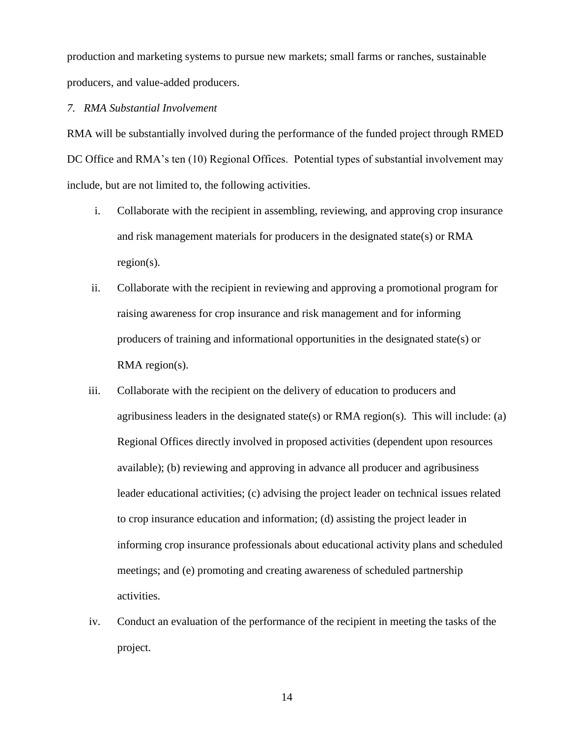production and marketing systems to pursue new markets; small farms or ranches, sustainable producers, and value-added producers.

*7. RMA Substantial Involvement*

RMA will be substantially involved during the performance of the funded project through RMED DC Office and RMA's ten (10) Regional Offices. Potential types of substantial involvement may include, but are not limited to, the following activities.

- i. Collaborate with the recipient in assembling, reviewing, and approving crop insurance and risk management materials for producers in the designated state(s) or RMA region(s).
- ii. Collaborate with the recipient in reviewing and approving a promotional program for raising awareness for crop insurance and risk management and for informing producers of training and informational opportunities in the designated state(s) or RMA region(s).
- iii. Collaborate with the recipient on the delivery of education to producers and agribusiness leaders in the designated state(s) or RMA region(s). This will include: (a) Regional Offices directly involved in proposed activities (dependent upon resources available); (b) reviewing and approving in advance all producer and agribusiness leader educational activities; (c) advising the project leader on technical issues related to crop insurance education and information; (d) assisting the project leader in informing crop insurance professionals about educational activity plans and scheduled meetings; and (e) promoting and creating awareness of scheduled partnership activities.
- iv. Conduct an evaluation of the performance of the recipient in meeting the tasks of the project.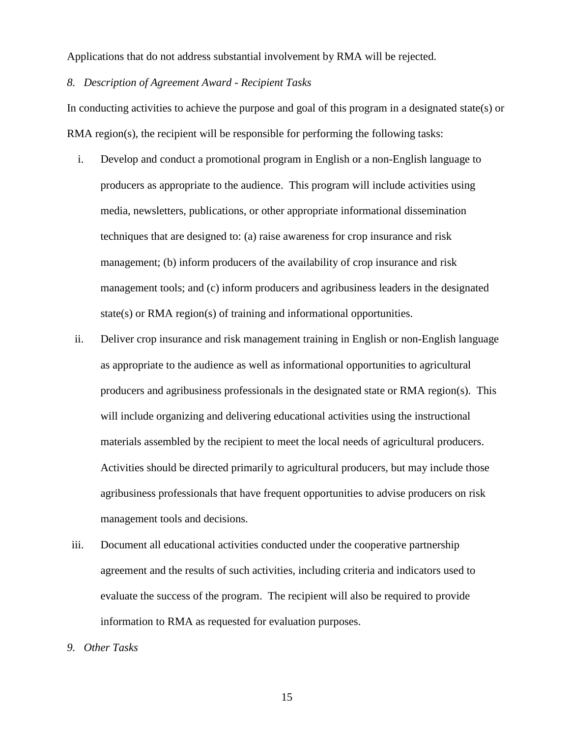Applications that do not address substantial involvement by RMA will be rejected.

#### *8. Description of Agreement Award - Recipient Tasks*

In conducting activities to achieve the purpose and goal of this program in a designated state(s) or RMA region(s), the recipient will be responsible for performing the following tasks:

- i. Develop and conduct a promotional program in English or a non-English language to producers as appropriate to the audience. This program will include activities using media, newsletters, publications, or other appropriate informational dissemination techniques that are designed to: (a) raise awareness for crop insurance and risk management; (b) inform producers of the availability of crop insurance and risk management tools; and (c) inform producers and agribusiness leaders in the designated state(s) or RMA region(s) of training and informational opportunities.
- ii. Deliver crop insurance and risk management training in English or non-English language as appropriate to the audience as well as informational opportunities to agricultural producers and agribusiness professionals in the designated state or RMA region(s). This will include organizing and delivering educational activities using the instructional materials assembled by the recipient to meet the local needs of agricultural producers. Activities should be directed primarily to agricultural producers, but may include those agribusiness professionals that have frequent opportunities to advise producers on risk management tools and decisions.
- iii. Document all educational activities conducted under the cooperative partnership agreement and the results of such activities, including criteria and indicators used to evaluate the success of the program. The recipient will also be required to provide information to RMA as requested for evaluation purposes.
- *9. Other Tasks*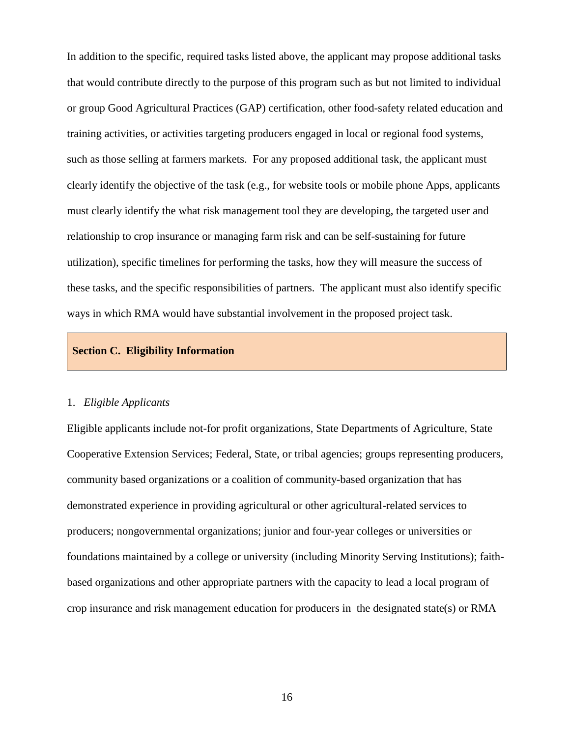In addition to the specific, required tasks listed above, the applicant may propose additional tasks that would contribute directly to the purpose of this program such as but not limited to individual or group Good Agricultural Practices (GAP) certification, other food-safety related education and training activities, or activities targeting producers engaged in local or regional food systems, such as those selling at farmers markets. For any proposed additional task, the applicant must clearly identify the objective of the task (e.g., for website tools or mobile phone Apps, applicants must clearly identify the what risk management tool they are developing, the targeted user and relationship to crop insurance or managing farm risk and can be self-sustaining for future utilization), specific timelines for performing the tasks, how they will measure the success of these tasks, and the specific responsibilities of partners. The applicant must also identify specific ways in which RMA would have substantial involvement in the proposed project task.

#### **Section C. Eligibility Information**

#### 1. *Eligible Applicants*

Eligible applicants include not-for profit organizations, State Departments of Agriculture, State Cooperative Extension Services; Federal, State, or tribal agencies; groups representing producers, community based organizations or a coalition of community-based organization that has demonstrated experience in providing agricultural or other agricultural-related services to producers; nongovernmental organizations; junior and four-year colleges or universities or foundations maintained by a college or university (including Minority Serving Institutions); faithbased organizations and other appropriate partners with the capacity to lead a local program of crop insurance and risk management education for producers in the designated state(s) or RMA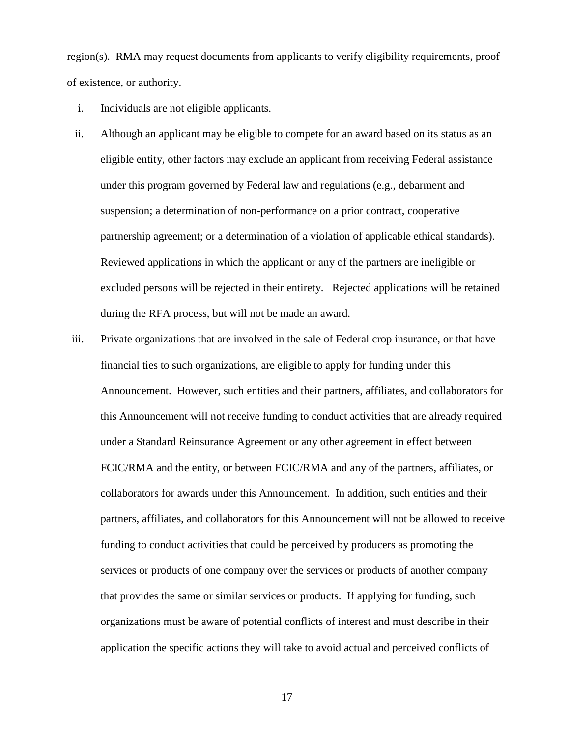region(s). RMA may request documents from applicants to verify eligibility requirements, proof of existence, or authority.

- i. Individuals are not eligible applicants.
- ii. Although an applicant may be eligible to compete for an award based on its status as an eligible entity, other factors may exclude an applicant from receiving Federal assistance under this program governed by Federal law and regulations (e.g., debarment and suspension; a determination of non-performance on a prior contract, cooperative partnership agreement; or a determination of a violation of applicable ethical standards). Reviewed applications in which the applicant or any of the partners are ineligible or excluded persons will be rejected in their entirety. Rejected applications will be retained during the RFA process, but will not be made an award.
- iii. Private organizations that are involved in the sale of Federal crop insurance, or that have financial ties to such organizations, are eligible to apply for funding under this Announcement. However, such entities and their partners, affiliates, and collaborators for this Announcement will not receive funding to conduct activities that are already required under a Standard Reinsurance Agreement or any other agreement in effect between FCIC/RMA and the entity, or between FCIC/RMA and any of the partners, affiliates, or collaborators for awards under this Announcement. In addition, such entities and their partners, affiliates, and collaborators for this Announcement will not be allowed to receive funding to conduct activities that could be perceived by producers as promoting the services or products of one company over the services or products of another company that provides the same or similar services or products. If applying for funding, such organizations must be aware of potential conflicts of interest and must describe in their application the specific actions they will take to avoid actual and perceived conflicts of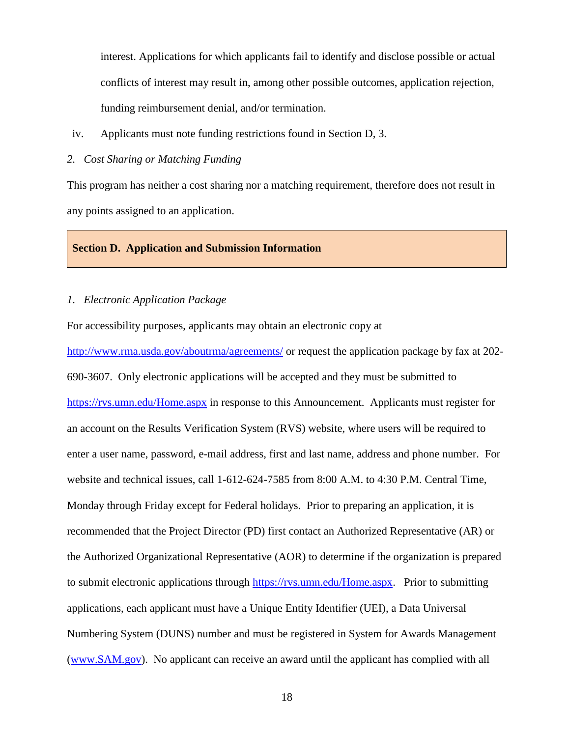interest. Applications for which applicants fail to identify and disclose possible or actual conflicts of interest may result in, among other possible outcomes, application rejection, funding reimbursement denial, and/or termination.

iv. Applicants must note funding restrictions found in Section D, 3.

#### *2. Cost Sharing or Matching Funding*

This program has neither a cost sharing nor a matching requirement, therefore does not result in any points assigned to an application.

#### **Section D. Application and Submission Information**

#### *1. Electronic Application Package*

For accessibility purposes, applicants may obtain an electronic copy at

<http://www.rma.usda.gov/aboutrma/agreements/> or request the application package by fax at 202-690-3607. Only electronic applications will be accepted and they must be submitted to <https://rvs.umn.edu/Home.aspx> in response to this Announcement. Applicants must register for an account on the Results Verification System (RVS) website, where users will be required to enter a user name, password, e-mail address, first and last name, address and phone number. For website and technical issues, call 1-612-624-7585 from 8:00 A.M. to 4:30 P.M. Central Time, Monday through Friday except for Federal holidays. Prior to preparing an application, it is recommended that the Project Director (PD) first contact an Authorized Representative (AR) or the Authorized Organizational Representative (AOR) to determine if the organization is prepared to submit electronic applications through [https://rvs.umn.edu/Home.aspx.](https://rvs.umn.edu/Home.aspx) Prior to submitting applications, each applicant must have a Unique Entity Identifier (UEI), a Data Universal Numbering System (DUNS) number and must be registered in System for Awards Management [\(www.SAM.gov\)](http://www.sam.gov/). No applicant can receive an award until the applicant has complied with all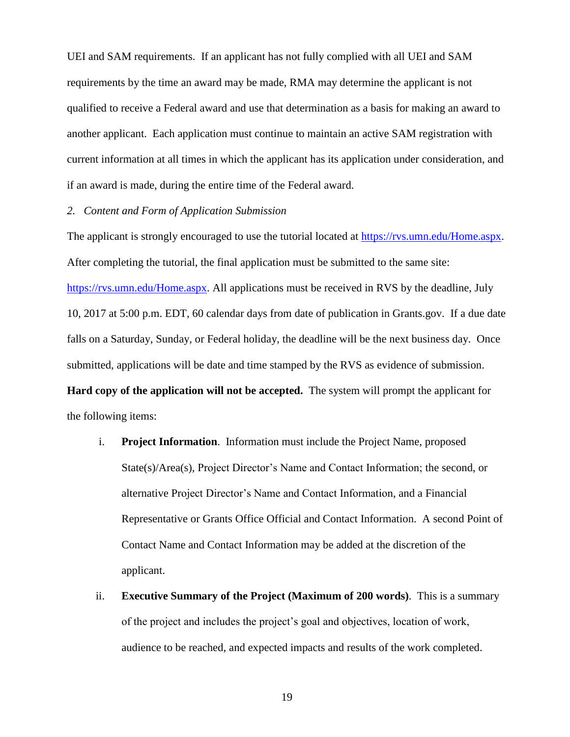UEI and SAM requirements. If an applicant has not fully complied with all UEI and SAM requirements by the time an award may be made, RMA may determine the applicant is not qualified to receive a Federal award and use that determination as a basis for making an award to another applicant. Each application must continue to maintain an active SAM registration with current information at all times in which the applicant has its application under consideration, and if an award is made, during the entire time of the Federal award.

#### *2. Content and Form of Application Submission*

The applicant is strongly encouraged to use the tutorial located at [https://rvs.umn.edu/Home.aspx.](https://rvs.umn.edu/Home.aspx) After completing the tutorial, the final application must be submitted to the same site: [https://rvs.umn.edu/Home.aspx.](https://rvs.umn.edu/Home.aspx) All applications must be received in RVS by the deadline, July 10, 2017 at 5:00 p.m. EDT, 60 calendar days from date of publication in Grants.gov. If a due date falls on a Saturday, Sunday, or Federal holiday, the deadline will be the next business day. Once submitted, applications will be date and time stamped by the RVS as evidence of submission. **Hard copy of the application will not be accepted.** The system will prompt the applicant for the following items:

- i. **Project Information**. Information must include the Project Name, proposed State(s)/Area(s), Project Director's Name and Contact Information; the second, or alternative Project Director's Name and Contact Information, and a Financial Representative or Grants Office Official and Contact Information. A second Point of Contact Name and Contact Information may be added at the discretion of the applicant.
- ii. **Executive Summary of the Project (Maximum of 200 words)**. This is a summary of the project and includes the project's goal and objectives, location of work, audience to be reached, and expected impacts and results of the work completed.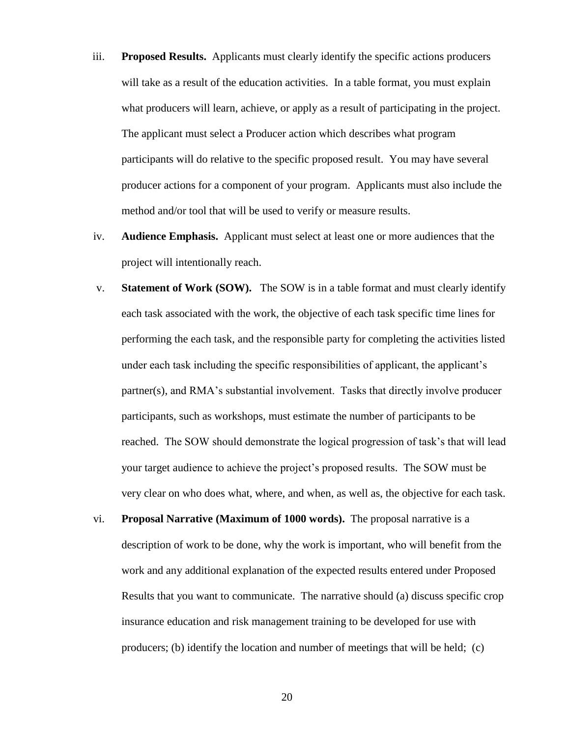- iii. **Proposed Results.** Applicants must clearly identify the specific actions producers will take as a result of the education activities. In a table format, you must explain what producers will learn, achieve, or apply as a result of participating in the project. The applicant must select a Producer action which describes what program participants will do relative to the specific proposed result. You may have several producer actions for a component of your program. Applicants must also include the method and/or tool that will be used to verify or measure results.
- iv. **Audience Emphasis.** Applicant must select at least one or more audiences that the project will intentionally reach.
- v. **Statement of Work (SOW).** The SOW is in a table format and must clearly identify each task associated with the work, the objective of each task specific time lines for performing the each task, and the responsible party for completing the activities listed under each task including the specific responsibilities of applicant, the applicant's partner(s), and RMA's substantial involvement. Tasks that directly involve producer participants, such as workshops, must estimate the number of participants to be reached. The SOW should demonstrate the logical progression of task's that will lead your target audience to achieve the project's proposed results. The SOW must be very clear on who does what, where, and when, as well as, the objective for each task.
- vi. **Proposal Narrative (Maximum of 1000 words).** The proposal narrative is a description of work to be done, why the work is important, who will benefit from the work and any additional explanation of the expected results entered under Proposed Results that you want to communicate. The narrative should (a) discuss specific crop insurance education and risk management training to be developed for use with producers; (b) identify the location and number of meetings that will be held; (c)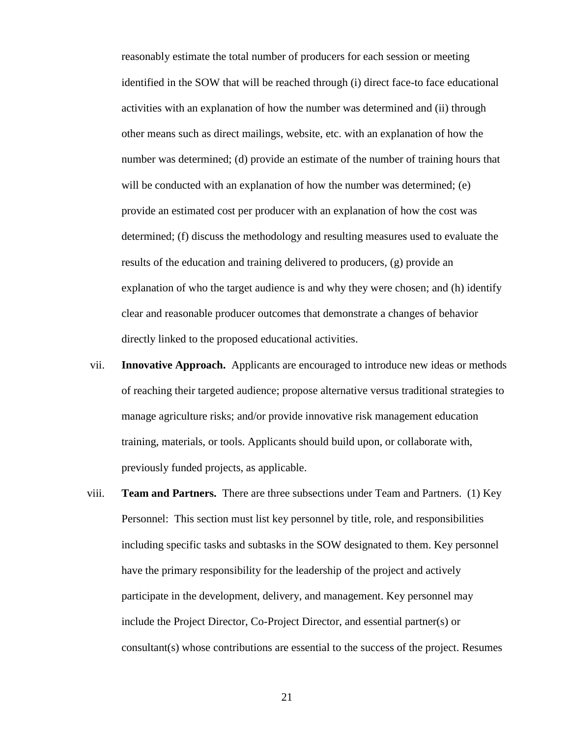reasonably estimate the total number of producers for each session or meeting identified in the SOW that will be reached through (i) direct face-to face educational activities with an explanation of how the number was determined and (ii) through other means such as direct mailings, website, etc. with an explanation of how the number was determined; (d) provide an estimate of the number of training hours that will be conducted with an explanation of how the number was determined; (e) provide an estimated cost per producer with an explanation of how the cost was determined; (f) discuss the methodology and resulting measures used to evaluate the results of the education and training delivered to producers, (g) provide an explanation of who the target audience is and why they were chosen; and (h) identify clear and reasonable producer outcomes that demonstrate a changes of behavior directly linked to the proposed educational activities.

- vii. **Innovative Approach.** Applicants are encouraged to introduce new ideas or methods of reaching their targeted audience; propose alternative versus traditional strategies to manage agriculture risks; and/or provide innovative risk management education training, materials, or tools. Applicants should build upon, or collaborate with, previously funded projects, as applicable.
- viii. **Team and Partners.** There are three subsections under Team and Partners. (1) Key Personnel: This section must list key personnel by title, role, and responsibilities including specific tasks and subtasks in the SOW designated to them. Key personnel have the primary responsibility for the leadership of the project and actively participate in the development, delivery, and management. Key personnel may include the Project Director, Co-Project Director, and essential partner(s) or consultant(s) whose contributions are essential to the success of the project. Resumes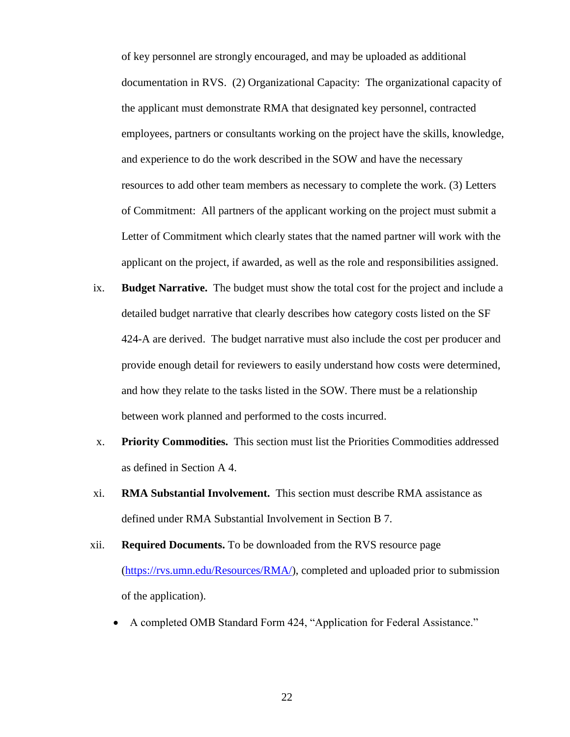of key personnel are strongly encouraged, and may be uploaded as additional documentation in RVS. (2) Organizational Capacity: The organizational capacity of the applicant must demonstrate RMA that designated key personnel, contracted employees, partners or consultants working on the project have the skills, knowledge, and experience to do the work described in the SOW and have the necessary resources to add other team members as necessary to complete the work. (3) Letters of Commitment: All partners of the applicant working on the project must submit a Letter of Commitment which clearly states that the named partner will work with the applicant on the project, if awarded, as well as the role and responsibilities assigned.

- ix. **Budget Narrative.** The budget must show the total cost for the project and include a detailed budget narrative that clearly describes how category costs listed on the SF 424-A are derived. The budget narrative must also include the cost per producer and provide enough detail for reviewers to easily understand how costs were determined, and how they relate to the tasks listed in the SOW. There must be a relationship between work planned and performed to the costs incurred.
- x. **Priority Commodities.** This section must list the Priorities Commodities addressed as defined in Section A 4.
- xi. **RMA Substantial Involvement.** This section must describe RMA assistance as defined under RMA Substantial Involvement in Section B 7.
- xii. **Required Documents.** To be downloaded from the RVS resource page [\(https://rvs.umn.edu/Resources/RMA/\)](https://rvs.umn.edu/Resources/RMA/), completed and uploaded prior to submission of the application).
	- A completed OMB Standard Form 424, "Application for Federal Assistance."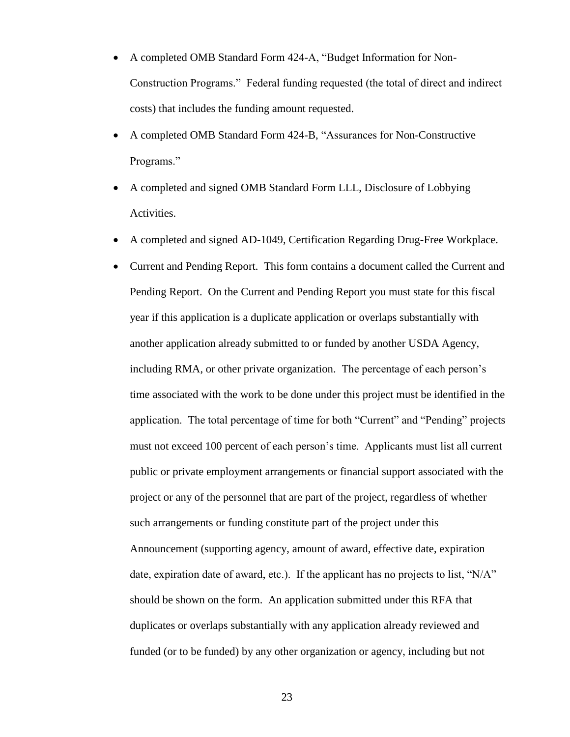- A completed OMB Standard Form 424-A, "Budget Information for Non-Construction Programs." Federal funding requested (the total of direct and indirect costs) that includes the funding amount requested.
- A completed OMB Standard Form 424-B, "Assurances for Non-Constructive Programs."
- A completed and signed OMB Standard Form LLL, Disclosure of Lobbying Activities.
- A completed and signed AD-1049, Certification Regarding Drug-Free Workplace.
- Current and Pending Report. This form contains a document called the Current and Pending Report. On the Current and Pending Report you must state for this fiscal year if this application is a duplicate application or overlaps substantially with another application already submitted to or funded by another USDA Agency, including RMA, or other private organization. The percentage of each person's time associated with the work to be done under this project must be identified in the application. The total percentage of time for both "Current" and "Pending" projects must not exceed 100 percent of each person's time. Applicants must list all current public or private employment arrangements or financial support associated with the project or any of the personnel that are part of the project, regardless of whether such arrangements or funding constitute part of the project under this Announcement (supporting agency, amount of award, effective date, expiration date, expiration date of award, etc.). If the applicant has no projects to list, " $N/A$ " should be shown on the form. An application submitted under this RFA that duplicates or overlaps substantially with any application already reviewed and funded (or to be funded) by any other organization or agency, including but not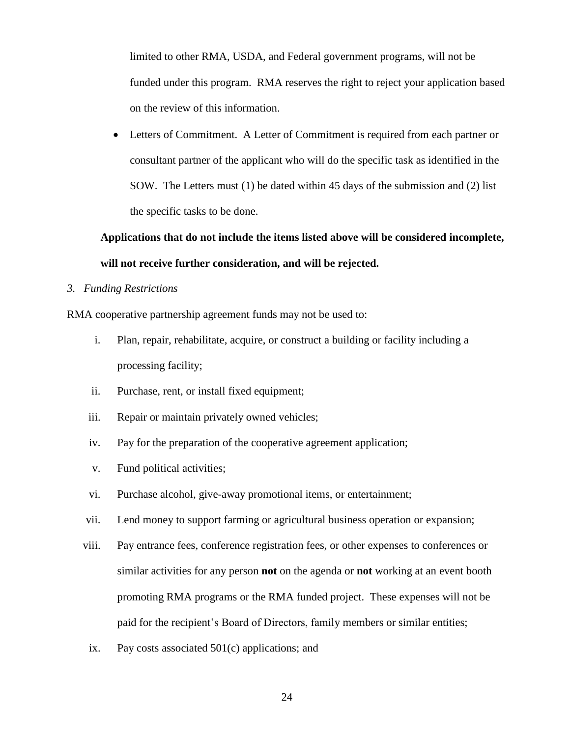limited to other RMA, USDA, and Federal government programs, will not be funded under this program. RMA reserves the right to reject your application based on the review of this information.

 Letters of Commitment. A Letter of Commitment is required from each partner or consultant partner of the applicant who will do the specific task as identified in the SOW. The Letters must (1) be dated within 45 days of the submission and (2) list the specific tasks to be done.

# **Applications that do not include the items listed above will be considered incomplete, will not receive further consideration, and will be rejected.**

## *3. Funding Restrictions*

RMA cooperative partnership agreement funds may not be used to:

- i. Plan, repair, rehabilitate, acquire, or construct a building or facility including a processing facility;
- ii. Purchase, rent, or install fixed equipment;
- iii. Repair or maintain privately owned vehicles;
- iv. Pay for the preparation of the cooperative agreement application;
- v. Fund political activities;
- vi. Purchase alcohol, give-away promotional items, or entertainment;
- vii. Lend money to support farming or agricultural business operation or expansion;
- viii. Pay entrance fees, conference registration fees, or other expenses to conferences or similar activities for any person **not** on the agenda or **not** working at an event booth promoting RMA programs or the RMA funded project. These expenses will not be paid for the recipient's Board of Directors, family members or similar entities;
- ix. Pay costs associated 501(c) applications; and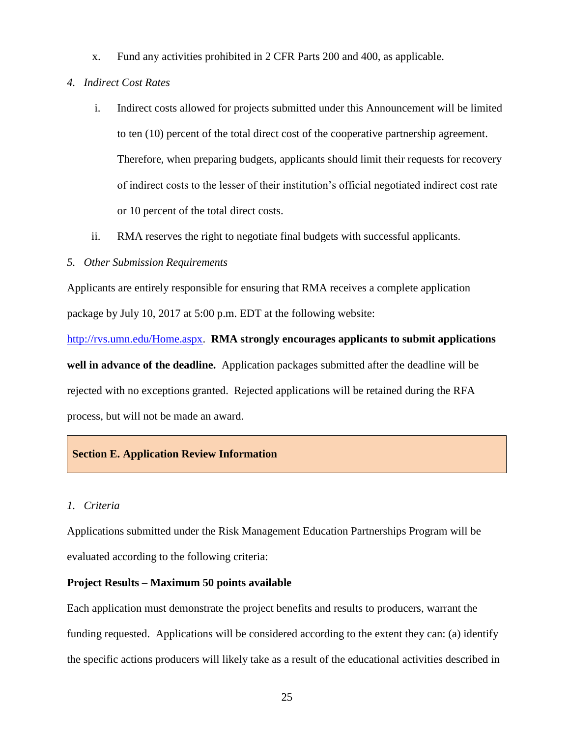- x. Fund any activities prohibited in 2 CFR Parts 200 and 400, as applicable.
- *4. Indirect Cost Rates*
	- i. Indirect costs allowed for projects submitted under this Announcement will be limited to ten (10) percent of the total direct cost of the cooperative partnership agreement. Therefore, when preparing budgets, applicants should limit their requests for recovery of indirect costs to the lesser of their institution's official negotiated indirect cost rate or 10 percent of the total direct costs.
	- ii. RMA reserves the right to negotiate final budgets with successful applicants.
- *5. Other Submission Requirements*

Applicants are entirely responsible for ensuring that RMA receives a complete application package by July 10, 2017 at 5:00 p.m. EDT at the following website:

[http://rvs.umn.edu/Home.aspx.](http://rvs.umn.edu/Home.aspx) **RMA strongly encourages applicants to submit applications well in advance of the deadline.** Application packages submitted after the deadline will be rejected with no exceptions granted. Rejected applications will be retained during the RFA process, but will not be made an award.

## **Section E. Application Review Information**

#### *1. Criteria*

Applications submitted under the Risk Management Education Partnerships Program will be evaluated according to the following criteria:

#### **Project Results – Maximum 50 points available**

Each application must demonstrate the project benefits and results to producers, warrant the funding requested. Applications will be considered according to the extent they can: (a) identify the specific actions producers will likely take as a result of the educational activities described in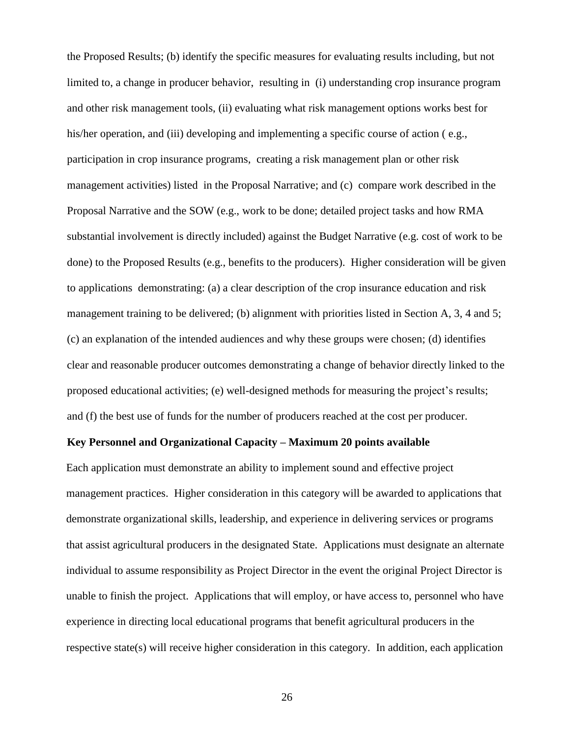the Proposed Results; (b) identify the specific measures for evaluating results including, but not limited to, a change in producer behavior, resulting in (i) understanding crop insurance program and other risk management tools, (ii) evaluating what risk management options works best for his/her operation, and (iii) developing and implementing a specific course of action (e.g., participation in crop insurance programs, creating a risk management plan or other risk management activities) listed in the Proposal Narrative; and (c) compare work described in the Proposal Narrative and the SOW (e.g., work to be done; detailed project tasks and how RMA substantial involvement is directly included) against the Budget Narrative (e.g. cost of work to be done) to the Proposed Results (e.g., benefits to the producers). Higher consideration will be given to applications demonstrating: (a) a clear description of the crop insurance education and risk management training to be delivered; (b) alignment with priorities listed in Section A, 3, 4 and 5; (c) an explanation of the intended audiences and why these groups were chosen; (d) identifies clear and reasonable producer outcomes demonstrating a change of behavior directly linked to the proposed educational activities; (e) well-designed methods for measuring the project's results; and (f) the best use of funds for the number of producers reached at the cost per producer.

## **Key Personnel and Organizational Capacity – Maximum 20 points available**

Each application must demonstrate an ability to implement sound and effective project management practices. Higher consideration in this category will be awarded to applications that demonstrate organizational skills, leadership, and experience in delivering services or programs that assist agricultural producers in the designated State. Applications must designate an alternate individual to assume responsibility as Project Director in the event the original Project Director is unable to finish the project. Applications that will employ, or have access to, personnel who have experience in directing local educational programs that benefit agricultural producers in the respective state(s) will receive higher consideration in this category. In addition, each application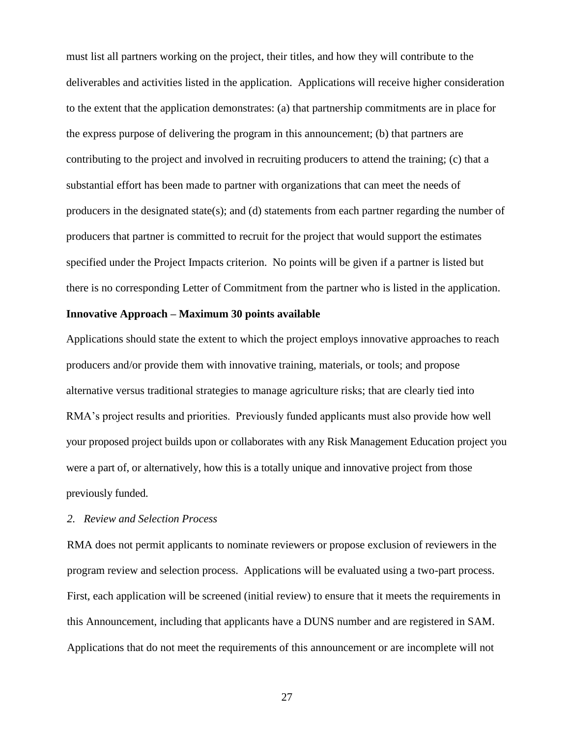must list all partners working on the project, their titles, and how they will contribute to the deliverables and activities listed in the application. Applications will receive higher consideration to the extent that the application demonstrates: (a) that partnership commitments are in place for the express purpose of delivering the program in this announcement; (b) that partners are contributing to the project and involved in recruiting producers to attend the training; (c) that a substantial effort has been made to partner with organizations that can meet the needs of producers in the designated state(s); and (d) statements from each partner regarding the number of producers that partner is committed to recruit for the project that would support the estimates specified under the Project Impacts criterion. No points will be given if a partner is listed but there is no corresponding Letter of Commitment from the partner who is listed in the application.

## **Innovative Approach – Maximum 30 points available**

Applications should state the extent to which the project employs innovative approaches to reach producers and/or provide them with innovative training, materials, or tools; and propose alternative versus traditional strategies to manage agriculture risks; that are clearly tied into RMA's project results and priorities. Previously funded applicants must also provide how well your proposed project builds upon or collaborates with any Risk Management Education project you were a part of, or alternatively, how this is a totally unique and innovative project from those previously funded.

#### *2. Review and Selection Process*

RMA does not permit applicants to nominate reviewers or propose exclusion of reviewers in the program review and selection process. Applications will be evaluated using a two-part process. First, each application will be screened (initial review) to ensure that it meets the requirements in this Announcement, including that applicants have a DUNS number and are registered in SAM. Applications that do not meet the requirements of this announcement or are incomplete will not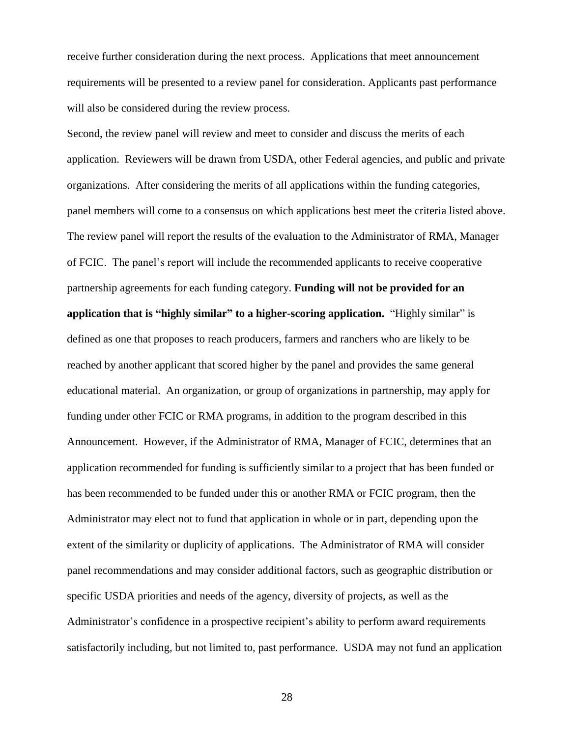receive further consideration during the next process. Applications that meet announcement requirements will be presented to a review panel for consideration. Applicants past performance will also be considered during the review process.

Second, the review panel will review and meet to consider and discuss the merits of each application. Reviewers will be drawn from USDA, other Federal agencies, and public and private organizations. After considering the merits of all applications within the funding categories, panel members will come to a consensus on which applications best meet the criteria listed above. The review panel will report the results of the evaluation to the Administrator of RMA, Manager of FCIC. The panel's report will include the recommended applicants to receive cooperative partnership agreements for each funding category. **Funding will not be provided for an application that is "highly similar" to a higher-scoring application.** "Highly similar" is defined as one that proposes to reach producers, farmers and ranchers who are likely to be reached by another applicant that scored higher by the panel and provides the same general educational material. An organization, or group of organizations in partnership, may apply for funding under other FCIC or RMA programs, in addition to the program described in this Announcement. However, if the Administrator of RMA, Manager of FCIC, determines that an application recommended for funding is sufficiently similar to a project that has been funded or has been recommended to be funded under this or another RMA or FCIC program, then the Administrator may elect not to fund that application in whole or in part, depending upon the extent of the similarity or duplicity of applications. The Administrator of RMA will consider panel recommendations and may consider additional factors, such as geographic distribution or specific USDA priorities and needs of the agency, diversity of projects, as well as the Administrator's confidence in a prospective recipient's ability to perform award requirements satisfactorily including, but not limited to, past performance. USDA may not fund an application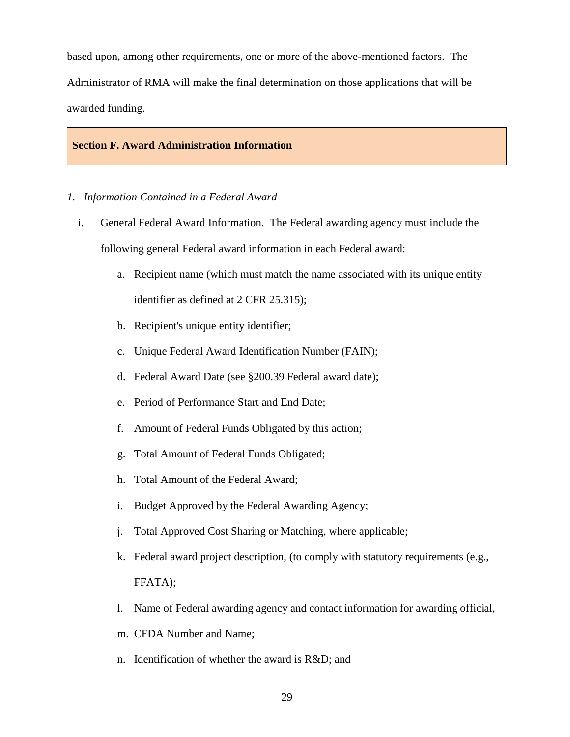based upon, among other requirements, one or more of the above-mentioned factors. The Administrator of RMA will make the final determination on those applications that will be awarded funding.

#### **Section F. Award Administration Information**

#### *1. Information Contained in a Federal Award*

- i. General Federal Award Information. The Federal awarding agency must include the following general Federal award information in each Federal award:
	- a. Recipient name (which must match the name associated with its unique entity identifier as defined at 2 CFR 25.315);
	- b. Recipient's unique entity identifier;
	- c. Unique Federal Award Identification Number (FAIN);
	- d. Federal Award Date (see §200.39 Federal award date);
	- e. Period of Performance Start and End Date;
	- f. Amount of Federal Funds Obligated by this action;
	- g. Total Amount of Federal Funds Obligated;
	- h. Total Amount of the Federal Award;
	- i. Budget Approved by the Federal Awarding Agency;
	- j. Total Approved Cost Sharing or Matching, where applicable;
	- k. Federal award project description, (to comply with statutory requirements (e.g., FFATA);
	- l. Name of Federal awarding agency and contact information for awarding official,
	- m. CFDA Number and Name;
	- n. Identification of whether the award is R&D; and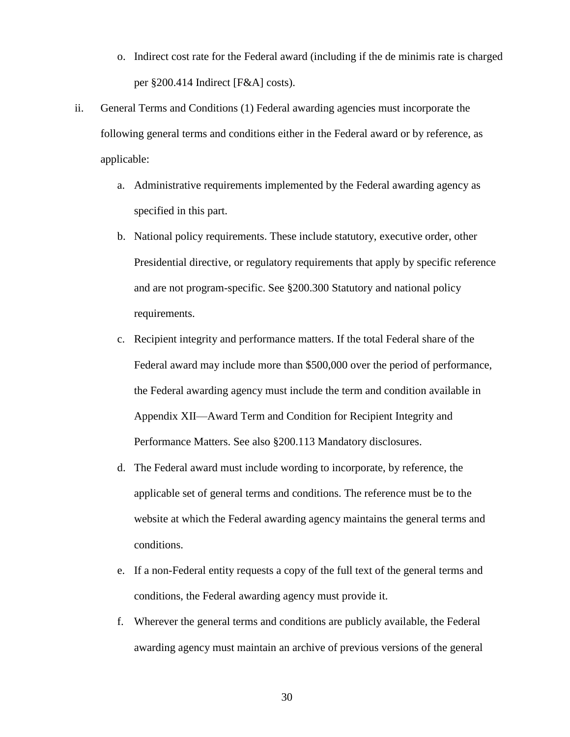- o. Indirect cost rate for the Federal award (including if the de minimis rate is charged per §200.414 Indirect [F&A] costs).
- ii. General Terms and Conditions (1) Federal awarding agencies must incorporate the following general terms and conditions either in the Federal award or by reference, as applicable:
	- a. Administrative requirements implemented by the Federal awarding agency as specified in this part.
	- b. National policy requirements. These include statutory, executive order, other Presidential directive, or regulatory requirements that apply by specific reference and are not program-specific. See §200.300 Statutory and national policy requirements.
	- c. Recipient integrity and performance matters. If the total Federal share of the Federal award may include more than \$500,000 over the period of performance, the Federal awarding agency must include the term and condition available in Appendix XII—Award Term and Condition for Recipient Integrity and Performance Matters. See also §200.113 Mandatory disclosures.
	- d. The Federal award must include wording to incorporate, by reference, the applicable set of general terms and conditions. The reference must be to the website at which the Federal awarding agency maintains the general terms and conditions.
	- e. If a non-Federal entity requests a copy of the full text of the general terms and conditions, the Federal awarding agency must provide it.
	- f. Wherever the general terms and conditions are publicly available, the Federal awarding agency must maintain an archive of previous versions of the general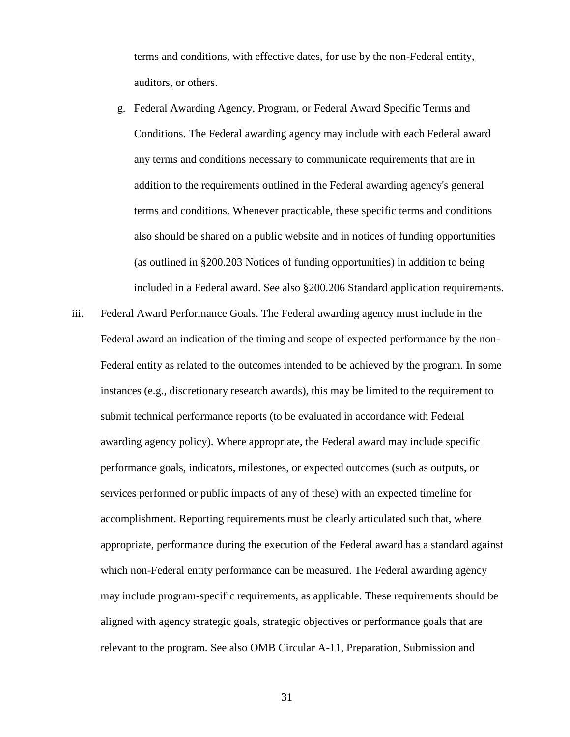terms and conditions, with effective dates, for use by the non-Federal entity, auditors, or others.

- g. Federal Awarding Agency, Program, or Federal Award Specific Terms and Conditions. The Federal awarding agency may include with each Federal award any terms and conditions necessary to communicate requirements that are in addition to the requirements outlined in the Federal awarding agency's general terms and conditions. Whenever practicable, these specific terms and conditions also should be shared on a public website and in notices of funding opportunities (as outlined in §200.203 Notices of funding opportunities) in addition to being included in a Federal award. See also §200.206 Standard application requirements.
- iii. Federal Award Performance Goals. The Federal awarding agency must include in the Federal award an indication of the timing and scope of expected performance by the non-Federal entity as related to the outcomes intended to be achieved by the program. In some instances (e.g., discretionary research awards), this may be limited to the requirement to submit technical performance reports (to be evaluated in accordance with Federal awarding agency policy). Where appropriate, the Federal award may include specific performance goals, indicators, milestones, or expected outcomes (such as outputs, or services performed or public impacts of any of these) with an expected timeline for accomplishment. Reporting requirements must be clearly articulated such that, where appropriate, performance during the execution of the Federal award has a standard against which non-Federal entity performance can be measured. The Federal awarding agency may include program-specific requirements, as applicable. These requirements should be aligned with agency strategic goals, strategic objectives or performance goals that are relevant to the program. See also OMB Circular A-11, Preparation, Submission and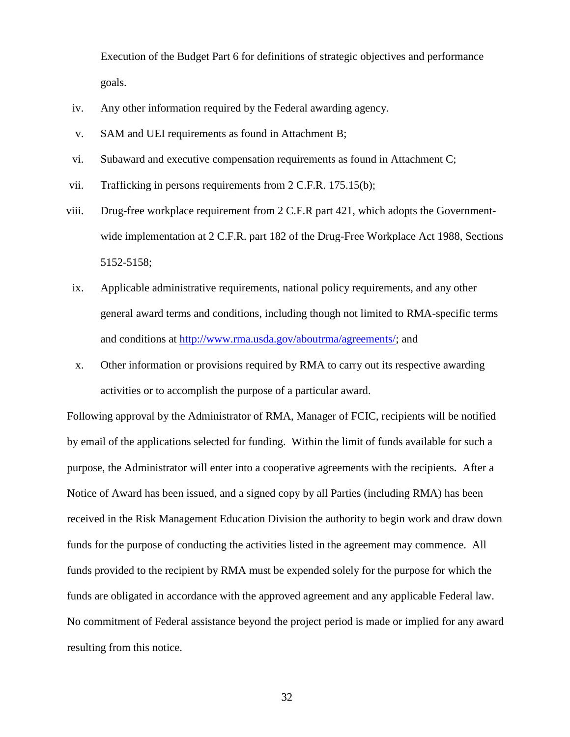Execution of the Budget Part 6 for definitions of strategic objectives and performance goals.

- iv. Any other information required by the Federal awarding agency.
- v. SAM and UEI requirements as found in Attachment B;
- vi. Subaward and executive compensation requirements as found in Attachment C;
- vii. Trafficking in persons requirements from 2 C.F.R. 175.15(b);
- viii. Drug-free workplace requirement from 2 C.F.R part 421, which adopts the Governmentwide implementation at 2 C.F.R. part 182 of the Drug-Free Workplace Act 1988, Sections 5152-5158;
- ix. Applicable administrative requirements, national policy requirements, and any other general award terms and conditions, including though not limited to RMA-specific terms and conditions at [http://www.rma.usda.gov/aboutrma/agreements/;](http://www.rma.usda.gov/aboutrma/agreements/) and
- x. Other information or provisions required by RMA to carry out its respective awarding activities or to accomplish the purpose of a particular award.

Following approval by the Administrator of RMA, Manager of FCIC, recipients will be notified by email of the applications selected for funding. Within the limit of funds available for such a purpose, the Administrator will enter into a cooperative agreements with the recipients. After a Notice of Award has been issued, and a signed copy by all Parties (including RMA) has been received in the Risk Management Education Division the authority to begin work and draw down funds for the purpose of conducting the activities listed in the agreement may commence. All funds provided to the recipient by RMA must be expended solely for the purpose for which the funds are obligated in accordance with the approved agreement and any applicable Federal law. No commitment of Federal assistance beyond the project period is made or implied for any award resulting from this notice.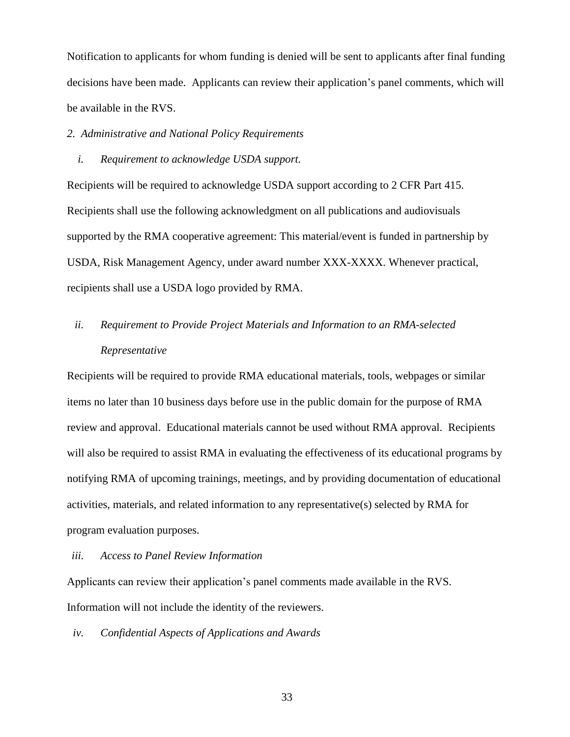Notification to applicants for whom funding is denied will be sent to applicants after final funding decisions have been made. Applicants can review their application's panel comments, which will be available in the RVS.

## *2. Administrative and National Policy Requirements*

## *i. Requirement to acknowledge USDA support.*

Recipients will be required to acknowledge USDA support according to 2 CFR Part 415. Recipients shall use the following acknowledgment on all publications and audiovisuals supported by the RMA cooperative agreement: This material/event is funded in partnership by USDA, Risk Management Agency, under award number XXX-XXXX. Whenever practical, recipients shall use a USDA logo provided by RMA.

# *ii. Requirement to Provide Project Materials and Information to an RMA-selected Representative*

Recipients will be required to provide RMA educational materials, tools, webpages or similar items no later than 10 business days before use in the public domain for the purpose of RMA review and approval. Educational materials cannot be used without RMA approval. Recipients will also be required to assist RMA in evaluating the effectiveness of its educational programs by notifying RMA of upcoming trainings, meetings, and by providing documentation of educational activities, materials, and related information to any representative(s) selected by RMA for program evaluation purposes.

#### *iii. Access to Panel Review Information*

Applicants can review their application's panel comments made available in the RVS. Information will not include the identity of the reviewers.

*iv. Confidential Aspects of Applications and Awards*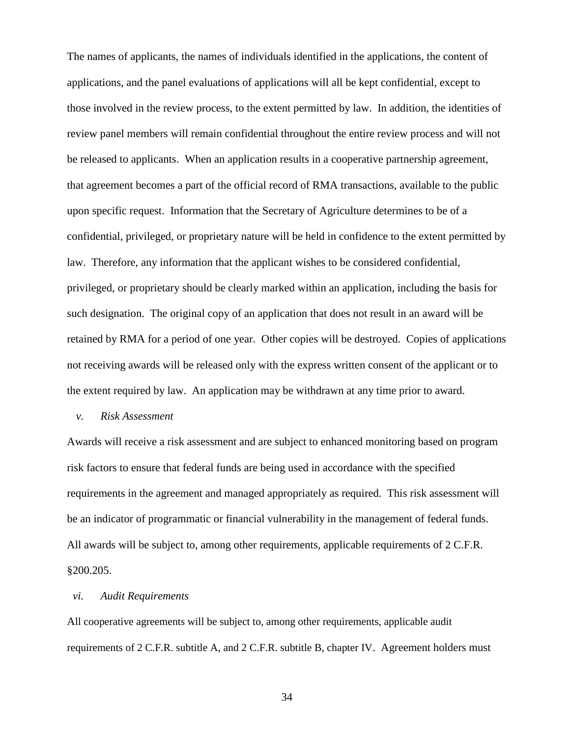The names of applicants, the names of individuals identified in the applications, the content of applications, and the panel evaluations of applications will all be kept confidential, except to those involved in the review process, to the extent permitted by law. In addition, the identities of review panel members will remain confidential throughout the entire review process and will not be released to applicants. When an application results in a cooperative partnership agreement, that agreement becomes a part of the official record of RMA transactions, available to the public upon specific request. Information that the Secretary of Agriculture determines to be of a confidential, privileged, or proprietary nature will be held in confidence to the extent permitted by law. Therefore, any information that the applicant wishes to be considered confidential, privileged, or proprietary should be clearly marked within an application, including the basis for such designation. The original copy of an application that does not result in an award will be retained by RMA for a period of one year. Other copies will be destroyed. Copies of applications not receiving awards will be released only with the express written consent of the applicant or to the extent required by law. An application may be withdrawn at any time prior to award.

## *v. Risk Assessment*

Awards will receive a risk assessment and are subject to enhanced monitoring based on program risk factors to ensure that federal funds are being used in accordance with the specified requirements in the agreement and managed appropriately as required. This risk assessment will be an indicator of programmatic or financial vulnerability in the management of federal funds. All awards will be subject to, among other requirements, applicable requirements of 2 C.F.R. §200.205.

## *vi. Audit Requirements*

All cooperative agreements will be subject to, among other requirements, applicable audit requirements of 2 C.F.R. subtitle A, and 2 C.F.R. subtitle B, chapter IV. Agreement holders must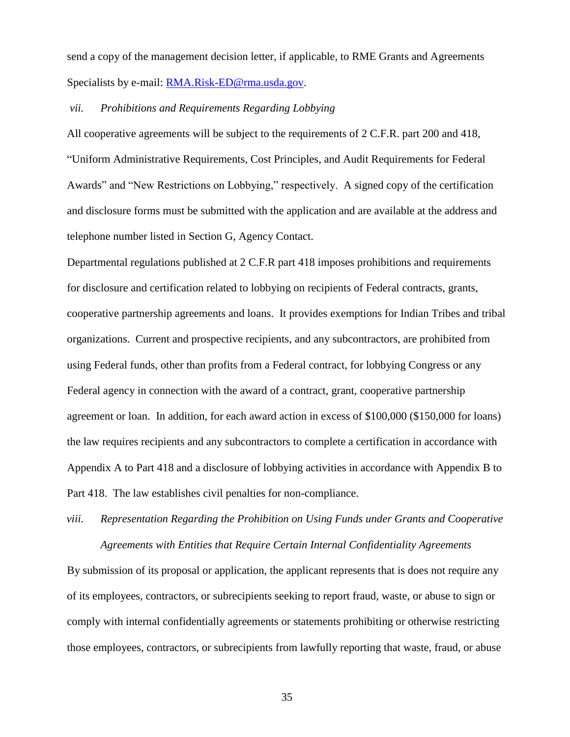send a copy of the management decision letter, if applicable, to RME Grants and Agreements Specialists by e-mail: [RMA.Risk-ED@rma.usda.gov.](mailto:RMA.Risk-ED@rma.usda.gov)

#### *vii. Prohibitions and Requirements Regarding Lobbying*

All cooperative agreements will be subject to the requirements of 2 C.F.R. part 200 and 418, "Uniform Administrative Requirements, Cost Principles, and Audit Requirements for Federal Awards" and "New Restrictions on Lobbying," respectively. A signed copy of the certification and disclosure forms must be submitted with the application and are available at the address and telephone number listed in Section G, Agency Contact.

Departmental regulations published at 2 C.F.R part 418 imposes prohibitions and requirements for disclosure and certification related to lobbying on recipients of Federal contracts, grants, cooperative partnership agreements and loans. It provides exemptions for Indian Tribes and tribal organizations. Current and prospective recipients, and any subcontractors, are prohibited from using Federal funds, other than profits from a Federal contract, for lobbying Congress or any Federal agency in connection with the award of a contract, grant, cooperative partnership agreement or loan. In addition, for each award action in excess of \$100,000 (\$150,000 for loans) the law requires recipients and any subcontractors to complete a certification in accordance with Appendix A to Part 418 and a disclosure of lobbying activities in accordance with Appendix B to Part 418. The law establishes civil penalties for non-compliance.

# *viii. Representation Regarding the Prohibition on Using Funds under Grants and Cooperative Agreements with Entities that Require Certain Internal Confidentiality Agreements*

By submission of its proposal or application, the applicant represents that is does not require any of its employees, contractors, or subrecipients seeking to report fraud, waste, or abuse to sign or comply with internal confidentially agreements or statements prohibiting or otherwise restricting those employees, contractors, or subrecipients from lawfully reporting that waste, fraud, or abuse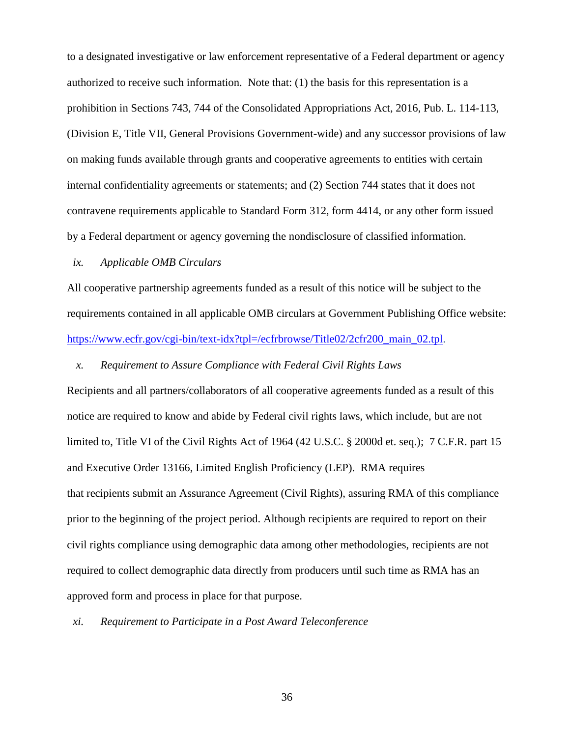to a designated investigative or law enforcement representative of a Federal department or agency authorized to receive such information. Note that: (1) the basis for this representation is a prohibition in Sections 743, 744 of the Consolidated Appropriations Act, 2016, Pub. L. 114-113, (Division E, Title VII, General Provisions Government-wide) and any successor provisions of law on making funds available through grants and cooperative agreements to entities with certain internal confidentiality agreements or statements; and (2) Section 744 states that it does not contravene requirements applicable to Standard Form 312, form 4414, or any other form issued by a Federal department or agency governing the nondisclosure of classified information.

## *ix. Applicable OMB Circulars*

All cooperative partnership agreements funded as a result of this notice will be subject to the requirements contained in all applicable OMB circulars at Government Publishing Office website: [https://www.ecfr.gov/cgi-bin/text-idx?tpl=/ecfrbrowse/Title02/2cfr200\\_main\\_02.tpl.](https://www.ecfr.gov/cgi-bin/text-idx?tpl=/ecfrbrowse/Title02/2cfr200_main_02.tpl)

#### *x. Requirement to Assure Compliance with Federal Civil Rights Laws*

Recipients and all partners/collaborators of all cooperative agreements funded as a result of this notice are required to know and abide by Federal civil rights laws, which include, but are not limited to, Title VI of the Civil Rights Act of 1964 (42 U.S.C. § 2000d et. seq.); 7 C.F.R. part 15 and Executive Order 13166, Limited English Proficiency (LEP). RMA requires that recipients submit an Assurance Agreement (Civil Rights), assuring RMA of this compliance prior to the beginning of the project period. Although recipients are required to report on their civil rights compliance using demographic data among other methodologies, recipients are not required to collect demographic data directly from producers until such time as RMA has an approved form and process in place for that purpose.

#### *xi. Requirement to Participate in a Post Award Teleconference*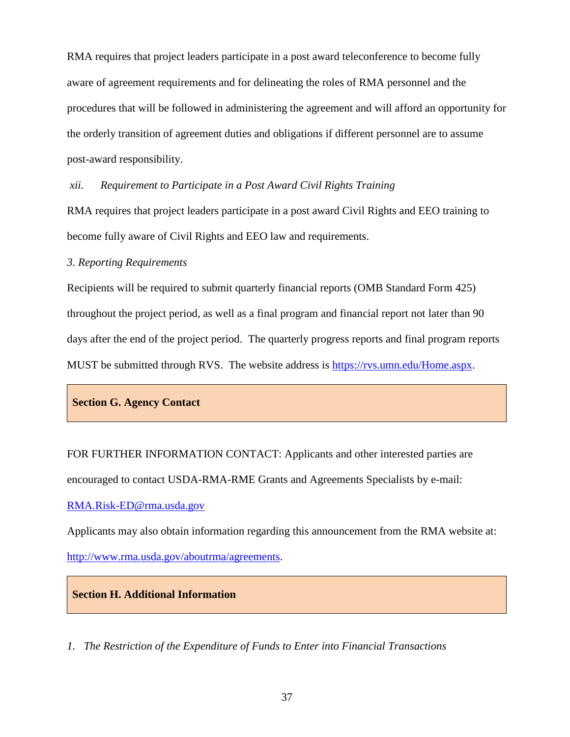RMA requires that project leaders participate in a post award teleconference to become fully aware of agreement requirements and for delineating the roles of RMA personnel and the procedures that will be followed in administering the agreement and will afford an opportunity for the orderly transition of agreement duties and obligations if different personnel are to assume post-award responsibility.

*xii. Requirement to Participate in a Post Award Civil Rights Training* 

RMA requires that project leaders participate in a post award Civil Rights and EEO training to become fully aware of Civil Rights and EEO law and requirements.

## *3. Reporting Requirements*

Recipients will be required to submit quarterly financial reports (OMB Standard Form 425) throughout the project period, as well as a final program and financial report not later than 90 days after the end of the project period. The quarterly progress reports and final program reports MUST be submitted through RVS. The website address is [https://rvs.umn.edu/Home.aspx.](https://rvs.umn.edu/Home.aspx)

## **Section G. Agency Contact**

FOR FURTHER INFORMATION CONTACT: Applicants and other interested parties are encouraged to contact USDA-RMA-RME Grants and Agreements Specialists by e-mail:

[RMA.Risk-ED@rma.usda.gov](mailto:RMA.Risk-ED@rma.usda.gov)

Applicants may also obtain information regarding this announcement from the RMA website at:

[http://www.rma.usda.gov/aboutrma/agreements.](http://www.rma.usda.gov/aboutrma/agreements)

## **Section H. Additional Information**

*1. The Restriction of the Expenditure of Funds to Enter into Financial Transactions*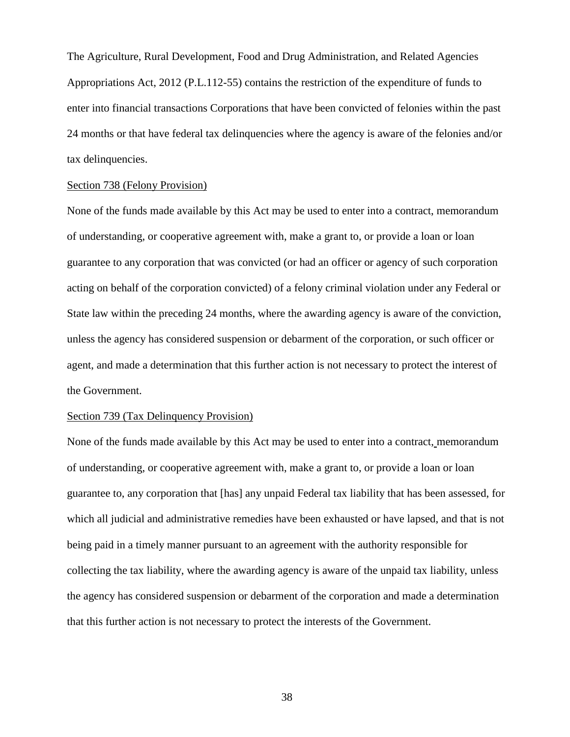The Agriculture, Rural Development, Food and Drug Administration, and Related Agencies Appropriations Act, 2012 (P.L.112-55) contains the restriction of the expenditure of funds to enter into financial transactions Corporations that have been convicted of felonies within the past 24 months or that have federal tax delinquencies where the agency is aware of the felonies and/or tax delinquencies.

#### Section 738 (Felony Provision)

None of the funds made available by this Act may be used to enter into a contract, memorandum of understanding, or cooperative agreement with, make a grant to, or provide a loan or loan guarantee to any corporation that was convicted (or had an officer or agency of such corporation acting on behalf of the corporation convicted) of a felony criminal violation under any Federal or State law within the preceding 24 months, where the awarding agency is aware of the conviction, unless the agency has considered suspension or debarment of the corporation, or such officer or agent, and made a determination that this further action is not necessary to protect the interest of the Government.

## Section 739 (Tax Delinquency Provision)

None of the funds made available by this Act may be used to enter into a contract, memorandum of understanding, or cooperative agreement with, make a grant to, or provide a loan or loan guarantee to, any corporation that [has] any unpaid Federal tax liability that has been assessed, for which all judicial and administrative remedies have been exhausted or have lapsed, and that is not being paid in a timely manner pursuant to an agreement with the authority responsible for collecting the tax liability, where the awarding agency is aware of the unpaid tax liability, unless the agency has considered suspension or debarment of the corporation and made a determination that this further action is not necessary to protect the interests of the Government.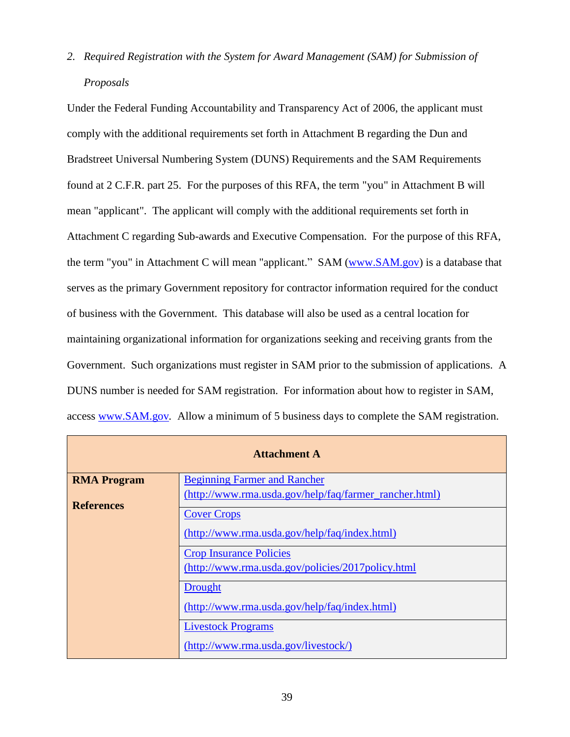*2. Required Registration with the System for Award Management (SAM) for Submission of Proposals*

Under the Federal Funding Accountability and Transparency Act of 2006, the applicant must comply with the additional requirements set forth in Attachment B regarding the Dun and Bradstreet Universal Numbering System (DUNS) Requirements and the SAM Requirements found at 2 C.F.R. part 25. For the purposes of this RFA, the term "you" in Attachment B will mean "applicant". The applicant will comply with the additional requirements set forth in Attachment C regarding Sub-awards and Executive Compensation. For the purpose of this RFA, the term "you" in Attachment C will mean "applicant." SAM [\(www.SAM.gov\)](http://www.sam.gov/) is a database that serves as the primary Government repository for contractor information required for the conduct of business with the Government. This database will also be used as a central location for maintaining organizational information for organizations seeking and receiving grants from the Government. Such organizations must register in SAM prior to the submission of applications. A DUNS number is needed for SAM registration. For information about how to register in SAM, access [www.SAM.gov](http://www.sam.gov/)*.* Allow a minimum of 5 business days to complete the SAM registration.

| <b>Attachment A</b> |                                                        |
|---------------------|--------------------------------------------------------|
| <b>RMA Program</b>  | <b>Beginning Farmer and Rancher</b>                    |
| <b>References</b>   | (http://www.rma.usda.gov/help/faq/farmer_rancher.html) |
|                     | <b>Cover Crops</b>                                     |
|                     | (http://www.rma.usda.gov/help/faq/index.html)          |
|                     | <b>Crop Insurance Policies</b>                         |
|                     | (http://www.rma.usda.gov/policies/2017policy.html      |
|                     | <b>Drought</b>                                         |
|                     | (http://www.rma.usda.gov/help/faq/index.html)          |
|                     | <b>Livestock Programs</b>                              |
|                     | (http://www.rma.usda.gov/livestock/)                   |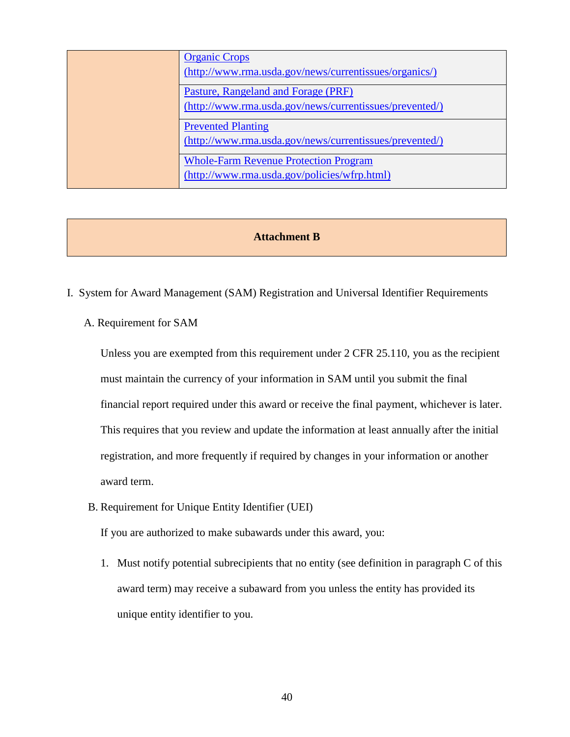| <b>Organic Crops</b>                                    |
|---------------------------------------------------------|
| (http://www.rma.usda.gov/news/currentissues/organics/)  |
| Pasture, Rangeland and Forage (PRF)                     |
| (http://www.rma.usda.gov/news/currentissues/prevented/) |
| <b>Prevented Planting</b>                               |
| (http://www.rma.usda.gov/news/currentissues/prevented/) |
| <b>Whole-Farm Revenue Protection Program</b>            |
| (http://www.rma.usda.gov/policies/wfrp.html)            |

## **Attachment B**

- I. System for Award Management (SAM) Registration and Universal Identifier Requirements
	- A. Requirement for SAM

Unless you are exempted from this requirement under 2 CFR 25.110, you as the recipient must maintain the currency of your information in SAM until you submit the final financial report required under this award or receive the final payment, whichever is later. This requires that you review and update the information at least annually after the initial registration, and more frequently if required by changes in your information or another award term.

B. Requirement for Unique Entity Identifier (UEI)

If you are authorized to make subawards under this award, you:

1. Must notify potential subrecipients that no entity (see definition in paragraph C of this award term) may receive a subaward from you unless the entity has provided its unique entity identifier to you.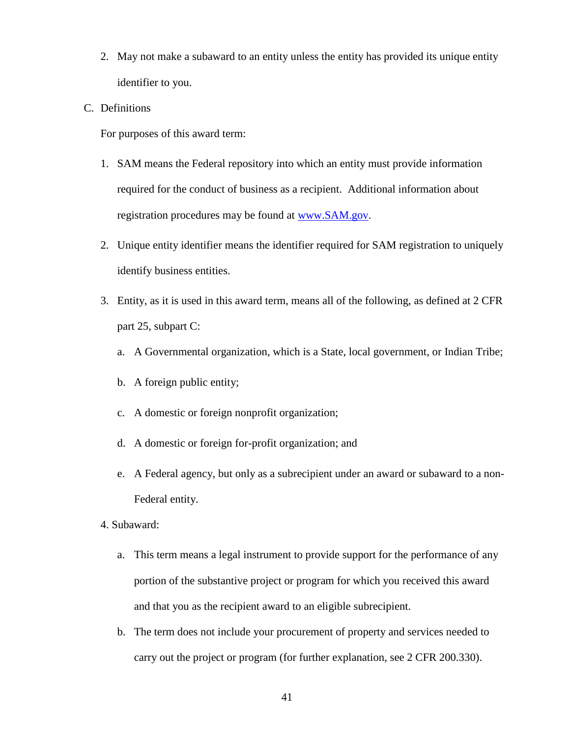- 2. May not make a subaward to an entity unless the entity has provided its unique entity identifier to you.
- C. Definitions

For purposes of this award term:

- 1. SAM means the Federal repository into which an entity must provide information required for the conduct of business as a recipient. Additional information about registration procedures may be found at [www.SAM.gov.](http://www.sam.gov/)
- 2. Unique entity identifier means the identifier required for SAM registration to uniquely identify business entities.
- 3. Entity, as it is used in this award term, means all of the following, as defined at 2 CFR part 25, subpart C:
	- a. A Governmental organization, which is a State, local government, or Indian Tribe;
	- b. A foreign public entity;
	- c. A domestic or foreign nonprofit organization;
	- d. A domestic or foreign for-profit organization; and
	- e. A Federal agency, but only as a subrecipient under an award or subaward to a non-Federal entity.
- 4. Subaward:
	- a. This term means a legal instrument to provide support for the performance of any portion of the substantive project or program for which you received this award and that you as the recipient award to an eligible subrecipient.
	- b. The term does not include your procurement of property and services needed to carry out the project or program (for further explanation, see 2 CFR 200.330).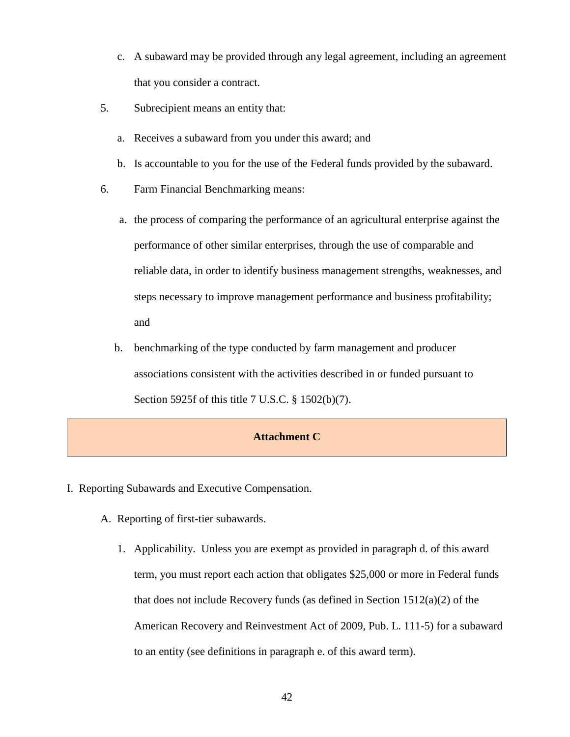- c. A subaward may be provided through any legal agreement, including an agreement that you consider a contract.
- 5. Subrecipient means an entity that:
	- a. Receives a subaward from you under this award; and
	- b. Is accountable to you for the use of the Federal funds provided by the subaward.
- 6. Farm Financial Benchmarking means:
	- a. the process of comparing the performance of an agricultural enterprise against the performance of other similar enterprises, through the use of comparable and reliable data, in order to identify business management strengths, weaknesses, and steps necessary to improve management performance and business profitability; and
	- b. benchmarking of the type conducted by farm management and producer associations consistent with the activities described in or funded pursuant to Section 5925f of this title 7 U.S.C. § 1502(b)(7).

## **Attachment C**

- I. Reporting Subawards and Executive Compensation.
	- A. Reporting of first-tier subawards.
		- 1. Applicability. Unless you are exempt as provided in paragraph d. of this award term, you must report each action that obligates \$25,000 or more in Federal funds that does not include Recovery funds (as defined in Section 1512(a)(2) of the American Recovery and Reinvestment Act of 2009, Pub. L. 111-5) for a subaward to an entity (see definitions in paragraph e. of this award term).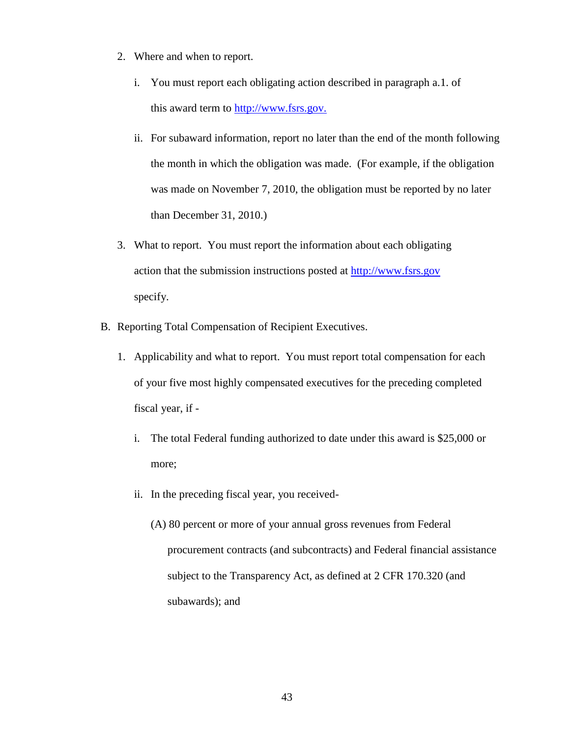- 2. Where and when to report.
	- i. You must report each obligating action described in paragraph a.1. of this award term to [http://www.fsrs.gov.](http://www.fsrs.gov/)
	- ii. For subaward information, report no later than the end of the month following the month in which the obligation was made. (For example, if the obligation was made on November 7, 2010, the obligation must be reported by no later than December 31, 2010.)
- 3. What to report. You must report the information about each obligating action that the submission instructions posted at [http://www.fsrs.gov](http://www.fsrs.gov/) specify.
- B. Reporting Total Compensation of Recipient Executives.
	- 1. Applicability and what to report. You must report total compensation for each of your five most highly compensated executives for the preceding completed fiscal year, if
		- i. The total Federal funding authorized to date under this award is \$25,000 or more;
		- ii. In the preceding fiscal year, you received-
			- (A) 80 percent or more of your annual gross revenues from Federal procurement contracts (and subcontracts) and Federal financial assistance subject to the Transparency Act, as defined at 2 CFR 170.320 (and subawards); and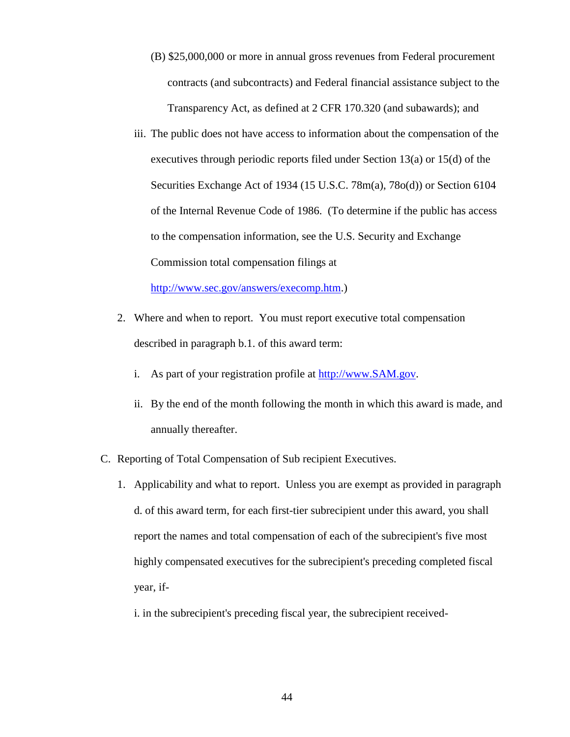- (B) \$25,000,000 or more in annual gross revenues from Federal procurement contracts (and subcontracts) and Federal financial assistance subject to the Transparency Act, as defined at 2 CFR 170.320 (and subawards); and
- iii. The public does not have access to information about the compensation of the executives through periodic reports filed under Section 13(a) or 15(d) of the Securities Exchange Act of 1934 (15 U.S.C. 78m(a), 78o(d)) or Section 6104 of the Internal Revenue Code of 1986. (To determine if the public has access to the compensation information, see the U.S. Security and Exchange Commission total compensation filings at

[http://www.sec.gov/answers/execomp.htm.](http://www.sec.gov/answers/execomp.htm))

- 2. Where and when to report. You must report executive total compensation described in paragraph b.1. of this award term:
	- i. As part of your registration profile at [http://www.SAM.gov.](http://www.sam.gov/)
	- ii. By the end of the month following the month in which this award is made, and annually thereafter.
- C. Reporting of Total Compensation of Sub recipient Executives.
	- 1. Applicability and what to report. Unless you are exempt as provided in paragraph d. of this award term, for each first-tier subrecipient under this award, you shall report the names and total compensation of each of the subrecipient's five most highly compensated executives for the subrecipient's preceding completed fiscal year, if
		- i. in the subrecipient's preceding fiscal year, the subrecipient received-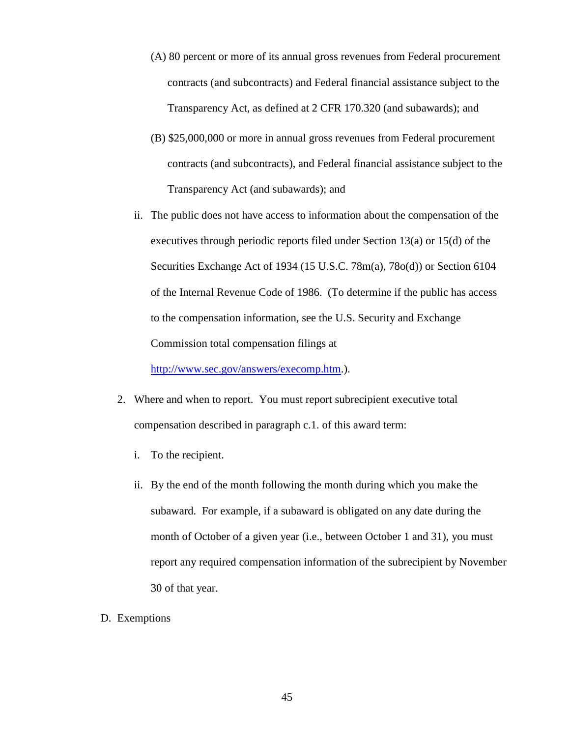- (A) 80 percent or more of its annual gross revenues from Federal procurement contracts (and subcontracts) and Federal financial assistance subject to the Transparency Act, as defined at 2 CFR 170.320 (and subawards); and
- (B) \$25,000,000 or more in annual gross revenues from Federal procurement contracts (and subcontracts), and Federal financial assistance subject to the Transparency Act (and subawards); and
- ii. The public does not have access to information about the compensation of the executives through periodic reports filed under Section 13(a) or 15(d) of the Securities Exchange Act of 1934 (15 U.S.C. 78m(a), 78o(d)) or Section 6104 of the Internal Revenue Code of 1986. (To determine if the public has access to the compensation information, see the U.S. Security and Exchange Commission total compensation filings at

[http://www.sec.gov/answers/execomp.htm.](http://www.sec.gov/answers/execomp.htm)).

- 2. Where and when to report. You must report subrecipient executive total compensation described in paragraph c.1. of this award term:
	- i. To the recipient.
	- ii. By the end of the month following the month during which you make the subaward. For example, if a subaward is obligated on any date during the month of October of a given year (i.e., between October 1 and 31), you must report any required compensation information of the subrecipient by November 30 of that year.
- D. Exemptions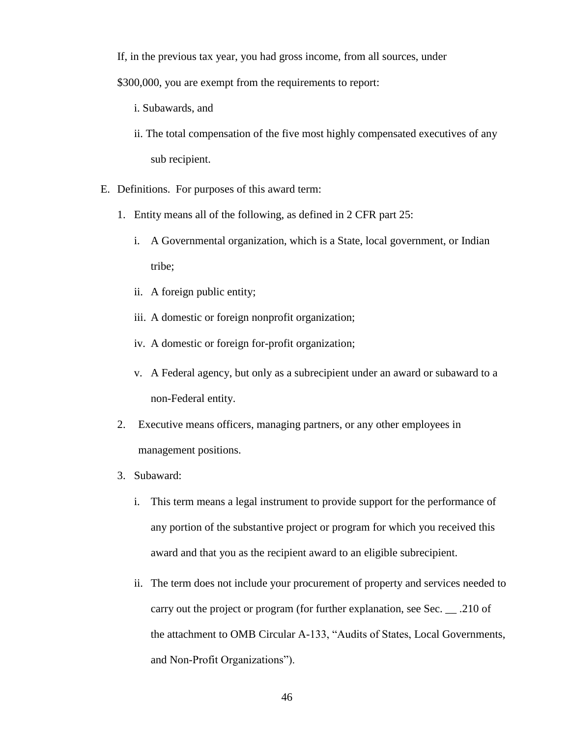If, in the previous tax year, you had gross income, from all sources, under

\$300,000, you are exempt from the requirements to report:

- i. Subawards, and
- ii. The total compensation of the five most highly compensated executives of any sub recipient.
- E. Definitions. For purposes of this award term:
	- 1. Entity means all of the following, as defined in 2 CFR part 25:
		- i. A Governmental organization, which is a State, local government, or Indian tribe;
		- ii. A foreign public entity;
		- iii. A domestic or foreign nonprofit organization;
		- iv. A domestic or foreign for-profit organization;
		- v. A Federal agency, but only as a subrecipient under an award or subaward to a non-Federal entity.
	- 2. Executive means officers, managing partners, or any other employees in management positions.
	- 3. Subaward:
		- i. This term means a legal instrument to provide support for the performance of any portion of the substantive project or program for which you received this award and that you as the recipient award to an eligible subrecipient.
		- ii. The term does not include your procurement of property and services needed to carry out the project or program (for further explanation, see Sec. \_\_ .210 of the attachment to OMB Circular A-133, "Audits of States, Local Governments, and Non-Profit Organizations").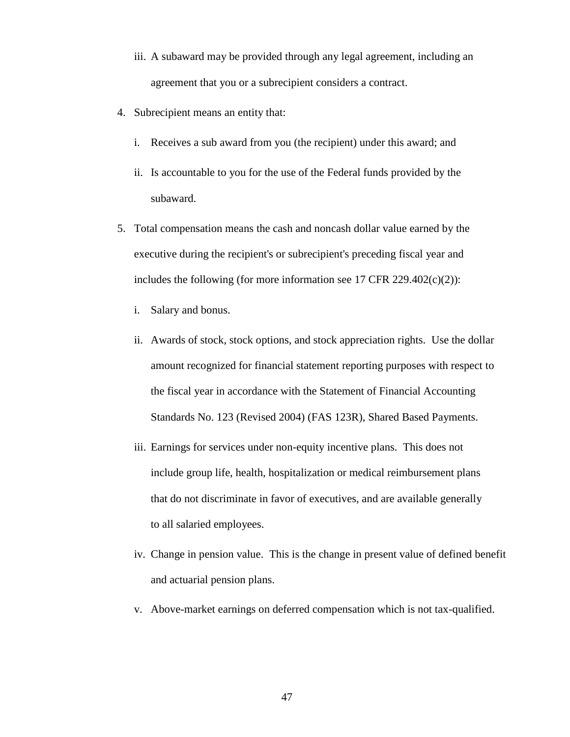- iii. A subaward may be provided through any legal agreement, including an agreement that you or a subrecipient considers a contract.
- 4. Subrecipient means an entity that:
	- i. Receives a sub award from you (the recipient) under this award; and
	- ii. Is accountable to you for the use of the Federal funds provided by the subaward.
- 5. Total compensation means the cash and noncash dollar value earned by the executive during the recipient's or subrecipient's preceding fiscal year and includes the following (for more information see 17 CFR 229.402 $(c)(2)$ ):
	- i. Salary and bonus.
	- ii. Awards of stock, stock options, and stock appreciation rights. Use the dollar amount recognized for financial statement reporting purposes with respect to the fiscal year in accordance with the Statement of Financial Accounting Standards No. 123 (Revised 2004) (FAS 123R), Shared Based Payments.
	- iii. Earnings for services under non-equity incentive plans. This does not include group life, health, hospitalization or medical reimbursement plans that do not discriminate in favor of executives, and are available generally to all salaried employees.
	- iv. Change in pension value. This is the change in present value of defined benefit and actuarial pension plans.
	- v. Above-market earnings on deferred compensation which is not tax-qualified.